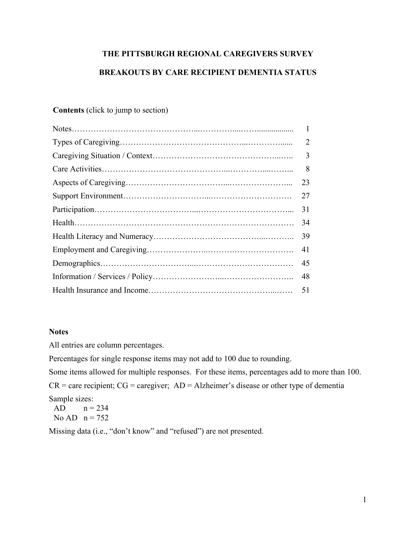# **THE PITTSBURGH REGIONAL CAREGIVERS SURVEY BREAKOUTS BY CARE RECIPIENT DEMENTIA STATUS**

# **Contents** (click to jump to section)

| $\mathbf{1}$ |
|--------------|
| 2            |
| 3            |
| 8            |
| 23           |
| 27           |
| 31           |
| 34           |
| 39           |
| 41           |
| 45           |
| 48           |
| 51           |

## **Notes**

All entries are column percentages.

Percentages for single response items may not add to 100 due to rounding.

Some items allowed for multiple responses. For these items, percentages add to more than 100.  $CR =$  care recipient;  $CG =$  caregiver;  $AD =$  Alzheimer's disease or other type of dementia Sample sizes:

AD  $n = 234$ No AD  $n = 752$ 

Missing data (i.e., "don't know" and "refused") are not presented.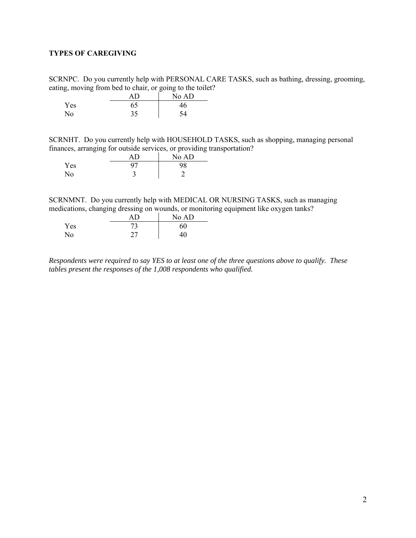## <span id="page-1-0"></span>**TYPES OF CAREGIVING**

SCRNPC. Do you currently help with PERSONAL CARE TASKS, such as bathing, dressing, grooming, eating, moving from bed to chair, or going to the toilet?

|     | AD | No AD |
|-----|----|-------|
| Yes | 65 | 46    |
| No  | 25 | ۲4    |

SCRNHT. Do you currently help with HOUSEHOLD TASKS, such as shopping, managing personal finances, arranging for outside services, or providing transportation?

|     | ΑD | No AD |
|-----|----|-------|
| Yes | 97 | 98    |
| No  | ت  |       |

SCRNMNT. Do you currently help with MEDICAL OR NURSING TASKS, such as managing medications, changing dressing on wounds, or monitoring equipment like oxygen tanks?

|     | AD | No AD |
|-----|----|-------|
| Yes |    | 60    |
| No  | 27 | 40    |

*Respondents were required to say YES to at least one of the three questions above to qualify. These tables present the responses of the 1,008 respondents who qualified.*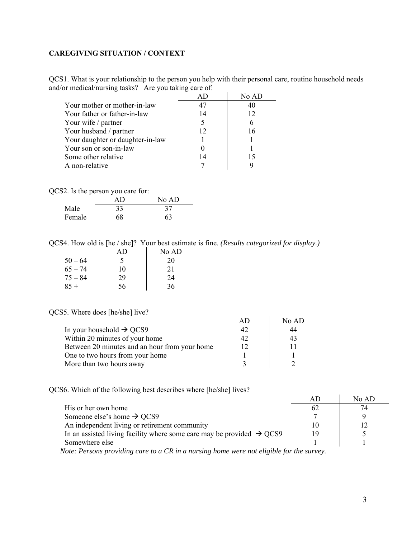## <span id="page-2-0"></span>**CAREGIVING SITUATION / CONTEXT**

QCS1. What is your relationship to the person you help with their personal care, routine household needs and/or medical/nursing tasks? Are you taking care of:

|                                  |    | No AD |
|----------------------------------|----|-------|
| Your mother or mother-in-law     | 47 |       |
| Your father or father-in-law     | 14 | 12    |
| Your wife / partner              | 5  | 6     |
| Your husband / partner           | 12 | 16    |
| Your daughter or daughter-in-law |    |       |
| Your son or son-in-law           |    |       |
| Some other relative              | 14 | 15    |
| A non-relative                   |    |       |

QCS2. Is the person you care for:

|        | ΔD | No AD |
|--------|----|-------|
| Male   | 33 | 37    |
| Female | 68 | 63    |

QCS4. How old is [he / she]? Your best estimate is fine. *(Results categorized for display.)*

|           | АD | No AD |
|-----------|----|-------|
| $50 - 64$ | 5  | 20    |
| $65 - 74$ | 10 | 21    |
| $75 - 84$ | 29 | 24    |
| $85 +$    | 56 | 36    |

#### QCS5. Where does [he/she] live?

|                                               | No AD |
|-----------------------------------------------|-------|
| In your household $\rightarrow$ QCS9          |       |
| Within 20 minutes of your home                | 43    |
| Between 20 minutes and an hour from your home |       |
| One to two hours from your home               |       |
| More than two hours away                      |       |

QCS6. Which of the following best describes where [he/she] lives?

|                                                                                                                                           |    | No AD |
|-------------------------------------------------------------------------------------------------------------------------------------------|----|-------|
| His or her own home                                                                                                                       | 62 | 74    |
| Someone else's home $\rightarrow$ QCS9                                                                                                    |    |       |
| An independent living or retirement community                                                                                             |    |       |
| In an assisted living facility where some care may be provided $\rightarrow$ QCS9                                                         | 19 |       |
| Somewhere else                                                                                                                            |    |       |
| $\sim$ $\sim$ $\sim$ $\sim$ $\sim$ $\sim$<br>$\mathbf{1} \cdot \mathbf{1} \cdot \mathbf{1} \cdot \mathbf{1}$<br>$\mathbf{r}$ $\mathbf{r}$ |    |       |

 *Note: Persons providing care to a CR in a nursing home were not eligible for the survey.*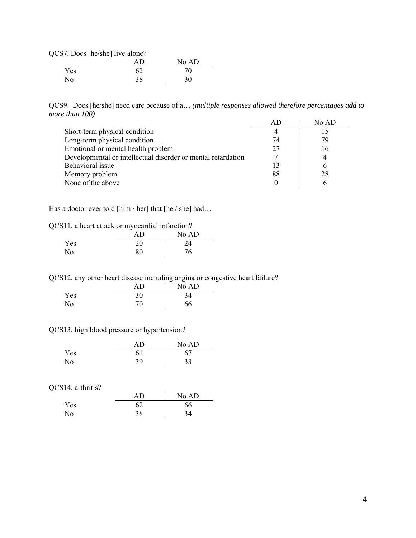QCS7. Does [he/she] live alone?

|     |    | No AD |
|-----|----|-------|
| Yes | 60 | 70    |
| No  | 38 | 30    |

QCS9. Does [he/she] need care because of a… *(multiple responses allowed therefore percentages add to more than 100)*  AD No AD

|                                                              | AD | NO AD |
|--------------------------------------------------------------|----|-------|
| Short-term physical condition                                |    |       |
| Long-term physical condition                                 | 74 | 79    |
| Emotional or mental health problem                           | 27 | 16    |
| Developmental or intellectual disorder or mental retardation |    |       |
| Behavioral issue                                             |    |       |
| Memory problem                                               | 88 | 28    |
| None of the above                                            |    |       |

Has a doctor ever told [him / her] that [he / she] had...

|  |  | QCS11. a heart attack or myocardial infarction? |
|--|--|-------------------------------------------------|
|  |  |                                                 |

|                | AΒ | No AD |
|----------------|----|-------|
| Yes            | 20 | 24    |
| N <sub>o</sub> | 80 | 76    |

QCS12. any other heart disease including angina or congestive heart failure?

|                | ΑD | No AD |
|----------------|----|-------|
| Yes            | 30 | 34    |
| N <sub>o</sub> | 70 | 66    |

QCS13. high blood pressure or hypertension?

|                | ΑĐ | No AD |
|----------------|----|-------|
| Yes            | 61 |       |
| N <sub>o</sub> | 39 | 33    |

QCS14. arthritis?

|     | ΑD | No AD |
|-----|----|-------|
| Yes |    | 66    |
| No  | 38 | 34    |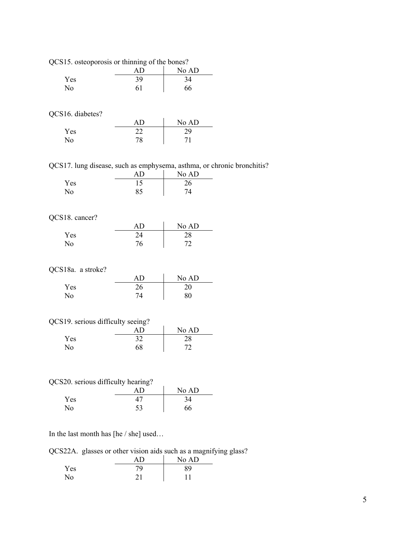| QCS15. osteoporosis or thinning of the bones?              |          |             |
|------------------------------------------------------------|----------|-------------|
|                                                            | AD       | No AD       |
| Yes                                                        | 39       | 34          |
| No                                                         | 61       | 66          |
| QCS16. diabetes?                                           |          |             |
|                                                            | AD       | No AD       |
| Yes                                                        | 22       | 29          |
| No                                                         | 78       | 71          |
| QCS17. lung disease, such as emphysema, asthma, or chronic |          |             |
|                                                            | AD       | No AD       |
| Yes                                                        | 15       | 26          |
| No                                                         | 85       | 74          |
| QCS18. cancer?                                             |          |             |
|                                                            | AD       | No AD       |
| Yes                                                        | 24       | 28          |
| No                                                         | 76       | 72          |
|                                                            |          |             |
| QCS18a. a stroke?                                          | AD       |             |
| Yes                                                        | 26       | No AD<br>20 |
| No                                                         | 74       | 80          |
|                                                            |          |             |
| QCS19. serious difficulty seeing?                          |          |             |
|                                                            | AD       | No AD       |
| Yes                                                        | 32       | 28          |
| No                                                         | 68       | 72          |
|                                                            |          |             |
| QCS20. serious difficulty hearing?                         |          |             |
|                                                            | AD       | No AD       |
| Yes                                                        | 47<br>53 | 34          |

bronchitis?

In the last month has [he / she] used…

QCS22A. glasses or other vision aids such as a magnifying glass?

|     | ۸n | No AD |
|-----|----|-------|
| Yes | 79 | 89    |
| No  |    |       |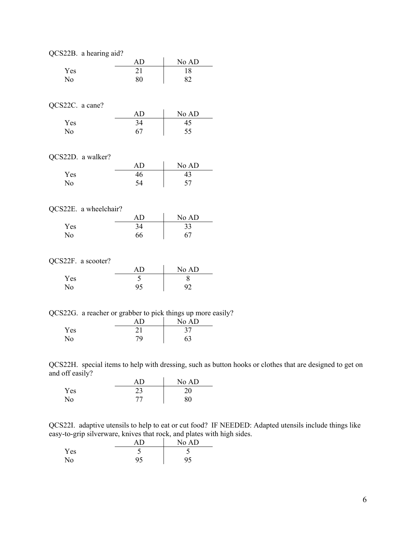|                 | QCS22B. a hearing aid? |    |                                                             |  |
|-----------------|------------------------|----|-------------------------------------------------------------|--|
|                 |                        | AD | No AD                                                       |  |
| Yes             |                        | 21 | 18                                                          |  |
| No              |                        | 80 | 82                                                          |  |
|                 |                        |    |                                                             |  |
|                 |                        |    |                                                             |  |
| QCS22C. a cane? |                        |    |                                                             |  |
|                 |                        | AD | No AD                                                       |  |
| Yes             |                        | 34 | $\overline{45}$                                             |  |
| No              |                        | 67 | 55                                                          |  |
|                 |                        |    |                                                             |  |
|                 |                        |    |                                                             |  |
|                 | QCS22D. a walker?      |    |                                                             |  |
|                 |                        | AD | No AD                                                       |  |
| Yes             |                        | 46 | 43                                                          |  |
| No              |                        | 54 | 57                                                          |  |
|                 |                        |    |                                                             |  |
|                 |                        |    |                                                             |  |
|                 | QCS22E. a wheelchair?  |    |                                                             |  |
|                 |                        | AD | No AD                                                       |  |
| Yes             |                        | 34 | 33                                                          |  |
| No              |                        | 66 | 67                                                          |  |
|                 |                        |    |                                                             |  |
|                 | QCS22F. a scooter?     |    |                                                             |  |
|                 |                        | AD |                                                             |  |
| Yes             |                        | 5  | No AD<br>8                                                  |  |
| No              |                        | 95 | 92                                                          |  |
|                 |                        |    |                                                             |  |
|                 |                        |    |                                                             |  |
|                 |                        |    | QCS22G. a reacher or grabber to pick things up more easily? |  |
|                 |                        | AD | No AD                                                       |  |
| Yes             |                        | 21 | 37                                                          |  |
| No              |                        | 79 | 63                                                          |  |
|                 |                        |    |                                                             |  |

QCS22H. special items to help with dressing, such as button hooks or clothes that are designed to get on and off easily?

|     | ΑŊ          | No AD |
|-----|-------------|-------|
| Yes | ر ے         | 20    |
| No  | $7^{\circ}$ | 80    |

QCS22I. adaptive utensils to help to eat or cut food? IF NEEDED: Adapted utensils include things like easy-to-grip silverware, knives that rock, and plates with high sides.

|     |    | No AD |
|-----|----|-------|
| Yes | ت  |       |
| No  | 95 | 95    |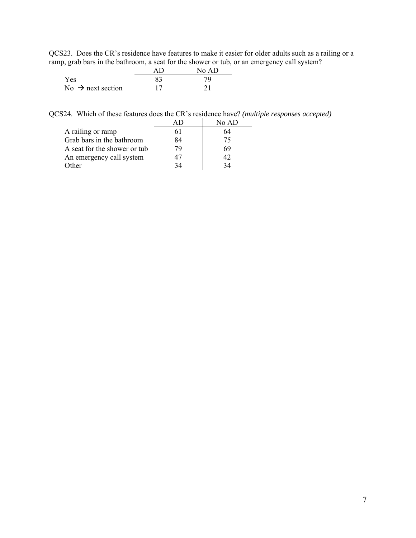QCS23. Does the CR's residence have features to make it easier for older adults such as a railing or a ramp, grab bars in the bathroom, a seat for the shower or tub, or an emergency call system?

| __                            | No AD |
|-------------------------------|-------|
| Yes                           |       |
| No $\rightarrow$ next section |       |

QCS24. Which of these features does the CR's residence have? *(multiple responses accepted)* 

|                              |    | No AD |
|------------------------------|----|-------|
| A railing or ramp            | 61 | 64    |
| Grab bars in the bathroom    | 84 | 75    |
| A seat for the shower or tub | 79 | 69    |
| An emergency call system     |    | 42    |
| Other                        | 34 | 34    |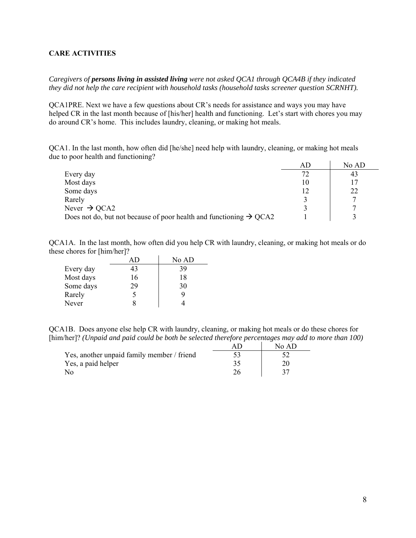#### <span id="page-7-0"></span>**CARE ACTIVITIES**

*Caregivers of persons living in assisted living were not asked QCA1 through QCA4B if they indicated they did not help the care recipient with household tasks (household tasks screener question SCRNHT).* 

QCA1PRE. Next we have a few questions about CR's needs for assistance and ways you may have helped CR in the last month because of [his/her] health and functioning. Let's start with chores you may do around CR's home. This includes laundry, cleaning, or making hot meals.

QCA1. In the last month, how often did [he/she] need help with laundry, cleaning, or making hot meals due to poor health and functioning?

|                                                                                | АD | No AD |
|--------------------------------------------------------------------------------|----|-------|
| Every day                                                                      | 72 | 43    |
| Most days                                                                      | 10 |       |
| Some days                                                                      |    | 22    |
| Rarely                                                                         |    |       |
| Never $\rightarrow$ QCA2                                                       |    |       |
| Does not do, but not because of poor health and functioning $\rightarrow$ QCA2 |    |       |

QCA1A. In the last month, how often did you help CR with laundry, cleaning, or making hot meals or do these chores for [him/her]?

|           |    | No AD |
|-----------|----|-------|
| Every day | 43 | 39    |
| Most days | 16 | 18    |
| Some days | 29 | 30    |
| Rarely    | 5  |       |
| Never     |    |       |

QCA1B. Does anyone else help CR with laundry, cleaning, or making hot meals or do these chores for [him/her]? *(Unpaid and paid could be both be selected therefore percentages may add to more than 100)* 

|                                            | No AD. |
|--------------------------------------------|--------|
| Yes, another unpaid family member / friend |        |
| Yes, a paid helper                         |        |
| No                                         |        |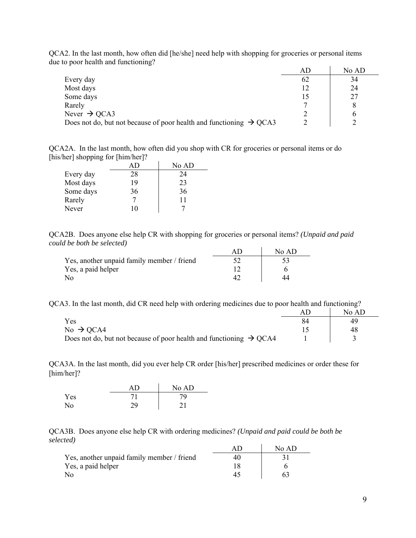QCA2. In the last month, how often did [he/she] need help with shopping for groceries or personal items due to poor health and functioning?

|                                                                                | AD | No AD |
|--------------------------------------------------------------------------------|----|-------|
| Every day                                                                      | 62 | 34    |
| Most days                                                                      |    | 24    |
| Some days                                                                      |    | 27    |
| Rarely                                                                         |    |       |
| Never $\rightarrow$ QCA3                                                       |    |       |
| Does not do, but not because of poor health and functioning $\rightarrow$ QCA3 |    |       |

QCA2A. In the last month, how often did you shop with CR for groceries or personal items or do [his/her] shopping for [him/her]?

|           |    | No AD |
|-----------|----|-------|
| Every day | 28 | 24    |
| Most days | 19 | 23    |
| Some days | 36 | 36    |
| Rarely    |    | 11    |
| Never     | 10 |       |

QCA2B. Does anyone else help CR with shopping for groceries or personal items? *(Unpaid and paid could be both be selected)* 

|                                            | No AD |
|--------------------------------------------|-------|
| Yes, another unpaid family member / friend |       |
| Yes, a paid helper                         |       |
| No                                         |       |

QCA3. In the last month, did CR need help with ordering medicines due to poor health and functioning?

|                                                                                | No AD |
|--------------------------------------------------------------------------------|-------|
| Yes                                                                            | 49    |
| No $\rightarrow$ QCA4                                                          | 48    |
| Does not do, but not because of poor health and functioning $\rightarrow$ QCA4 |       |

QCA3A. In the last month, did you ever help CR order [his/her] prescribed medicines or order these for [him/her]?

|     | AD | No AD |
|-----|----|-------|
| Yes | 71 | 79    |
| No  | 29 | 21    |

QCA3B. Does anyone else help CR with ordering medicines? *(Unpaid and paid could be both be selected)*

|                                            | No AD |
|--------------------------------------------|-------|
| Yes, another unpaid family member / friend |       |
| Yes, a paid helper                         |       |
| N٥                                         |       |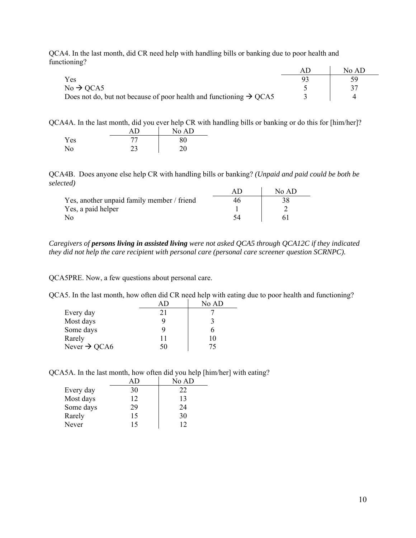QCA4. In the last month, did CR need help with handling bills or banking due to poor health and functioning?

|                                                                                | No AD |
|--------------------------------------------------------------------------------|-------|
| Yes                                                                            |       |
| $No \rightarrow QCA5$                                                          |       |
| Does not do, but not because of poor health and functioning $\rightarrow$ QCA5 |       |

QCA4A. In the last month, did you ever help CR with handling bills or banking or do this for [him/her]?

|                | AD | No AD |
|----------------|----|-------|
| Yes            |    | 80    |
| N <sub>o</sub> |    | 20    |

QCA4B. Does anyone else help CR with handling bills or banking? *(Unpaid and paid could be both be selected)*

|                                            | No AD |
|--------------------------------------------|-------|
| Yes, another unpaid family member / friend |       |
| Yes, a paid helper                         |       |
| No                                         |       |

*Caregivers of persons living in assisted living were not asked QCA5 through QCA12C if they indicated they did not help the care recipient with personal care (personal care screener question SCRNPC).* 

QCA5PRE. Now, a few questions about personal care.

QCA5. In the last month, how often did CR need help with eating due to poor health and functioning?

|                          |    | No AD |
|--------------------------|----|-------|
| Every day                | 21 |       |
| Most days                | g  |       |
| Some days                | q  |       |
| Rarely                   | 11 | 10    |
| Never $\rightarrow$ QCA6 | 50 | 75    |

QCA5A. In the last month, how often did you help [him/her] with eating?

|           | AD. | No AD |
|-----------|-----|-------|
| Every day | 30  | 22    |
| Most days | 12  | 13    |
| Some days | 29  | 24    |
| Rarely    | 15  | 30    |
| Never     | 15  |       |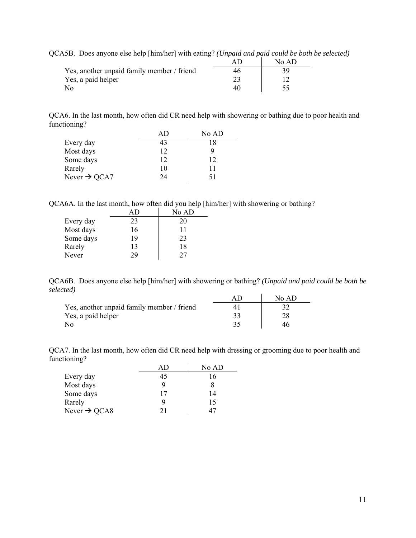| QCA5B. Does anyone else help [him/her] with eating? (Unpaid and paid could be both be selected) |     |       |  |
|-------------------------------------------------------------------------------------------------|-----|-------|--|
|                                                                                                 | AD. | No AD |  |
| Yes, another unpaid family member / friend                                                      | 46  |       |  |
| Yes, a paid helper                                                                              | 23  |       |  |
| N٥                                                                                              | 40  |       |  |

QCA6. In the last month, how often did CR need help with showering or bathing due to poor health and functioning?

|                          |    | No AD |
|--------------------------|----|-------|
| Every day                |    | 18    |
| Most days                | 12 |       |
| Some days                | 12 | 12    |
| Rarely                   | 10 | 11    |
| Never $\rightarrow$ QCA7 | 24 | 51    |

QCA6A. In the last month, how often did you help [him/her] with showering or bathing?

|           |    | No AD |
|-----------|----|-------|
| Every day | 23 | 20    |
| Most days | 16 | 11    |
| Some days | 19 | 23    |
| Rarely    | 13 | 18    |
| Never     | 29 | 77    |

QCA6B. Does anyone else help [him/her] with showering or bathing? *(Unpaid and paid could be both be selected)*

|                                            | No AD |
|--------------------------------------------|-------|
| Yes, another unpaid family member / friend |       |
| Yes, a paid helper                         |       |
| No                                         |       |

QCA7. In the last month, how often did CR need help with dressing or grooming due to poor health and functioning?

|                          |    | No AD |
|--------------------------|----|-------|
| Every day                | 45 | 16    |
| Most days                |    |       |
| Some days                | 17 | 14    |
| Rarely                   | 9  | 15    |
| Never $\rightarrow$ QCA8 | 21 |       |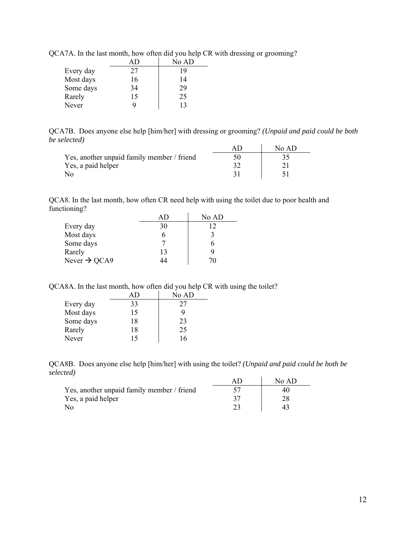|           |    | No AD |
|-----------|----|-------|
| Every day | 27 | 19    |
| Most days | 16 | 14    |
| Some days | 34 | 29    |
| Rarely    | 15 | 25    |
| Never     |    | 13    |

QCA7A. In the last month, how often did you help CR with dressing or grooming?

QCA7B. Does anyone else help [him/her] with dressing or grooming? *(Unpaid and paid could be both be selected)*

|                                            | No $AD$ |
|--------------------------------------------|---------|
| Yes, another unpaid family member / friend |         |
| Yes, a paid helper                         |         |
| No                                         |         |

QCA8. In the last month, how often CR need help with using the toilet due to poor health and functioning?

|                          |    | No AD |
|--------------------------|----|-------|
| Every day                | 30 | 12    |
| Most days                |    |       |
| Some days                |    |       |
| Rarely                   | 13 |       |
| Never $\rightarrow$ QCA9 | 14 | 70    |

QCA8A. In the last month, how often did you help CR with using the toilet?

|           | AD. | No AD |
|-----------|-----|-------|
| Every day | 33  | 27    |
| Most days | 15  |       |
| Some days | 18  | 23    |
| Rarely    | 18  | 25    |
| Never     | 15  |       |

QCA8B. Does anyone else help [him/her] with using the toilet? *(Unpaid and paid could be both be selected)*

|                                            | No AD |
|--------------------------------------------|-------|
| Yes, another unpaid family member / friend |       |
| Yes, a paid helper                         |       |
| No                                         |       |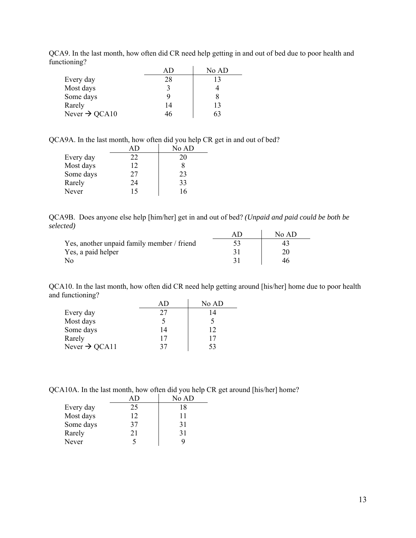|                           |    | No AD |
|---------------------------|----|-------|
| Every day                 | 28 | 13    |
| Most days                 |    |       |
| Some days                 |    |       |
| Rarely                    | 14 | 13    |
| Never $\rightarrow$ QCA10 | ŦU | 63    |

QCA9. In the last month, how often did CR need help getting in and out of bed due to poor health and functioning?

QCA9A. In the last month, how often did you help CR get in and out of bed?

|           |    | No AD |
|-----------|----|-------|
| Every day | 22 | 20    |
| Most days | 12 | 8     |
| Some days | 27 | 23    |
| Rarely    | 24 | 33    |
| Never     | 15 | 16    |

QCA9B. Does anyone else help [him/her] get in and out of bed? *(Unpaid and paid could be both be selected)*

|                                            | No AD |
|--------------------------------------------|-------|
| Yes, another unpaid family member / friend |       |
| Yes, a paid helper                         |       |
| No                                         | 46    |

QCA10. In the last month, how often did CR need help getting around [his/her] home due to poor health and functioning?

|                           |    | No AD |
|---------------------------|----|-------|
| Every day                 | 27 | 14    |
| Most days                 |    |       |
| Some days                 | 14 | 12    |
| Rarely                    | 17 | 17    |
| Never $\rightarrow$ QCA11 | 37 | 53    |

QCA10A. In the last month, how often did you help CR get around [his/her] home?

|           | АD | No AD |
|-----------|----|-------|
| Every day | 25 | 18    |
| Most days | 12 | 11    |
| Some days | 37 | 31    |
| Rarely    | 21 | 31    |
| Never     |    | Q,    |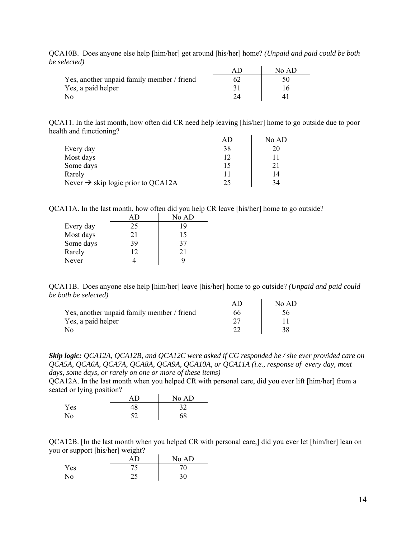| ,,,,,,,,,                                  |       |
|--------------------------------------------|-------|
|                                            | No AD |
| Yes, another unpaid family member / friend |       |
| Yes, a paid helper                         |       |
| No                                         |       |

QCA10B. Does anyone else help [him/her] get around [his/her] home? *(Unpaid and paid could be both be selected)*

QCA11. In the last month, how often did CR need help leaving [his/her] home to go outside due to poor health and functioning?

|                                                |    | No AD |
|------------------------------------------------|----|-------|
| Every day                                      | 38 | 20    |
| Most days                                      | 12 |       |
| Some days                                      | 15 | 21    |
| Rarely                                         | 11 | 14    |
| Never $\rightarrow$ skip logic prior to QCA12A | 25 | 34    |

QCA11A. In the last month, how often did you help CR leave [his/her] home to go outside?

|           |    | No AD |
|-----------|----|-------|
| Every day | 25 | 19    |
| Most days | 21 | 15    |
| Some days | 39 | 37    |
| Rarely    | 12 | 21    |
| Never     |    |       |

QCA11B. Does anyone else help [him/her] leave [his/her] home to go outside? *(Unpaid and paid could be both be selected)*  $AD \tM_2AD$ 

|                                            | No AL |
|--------------------------------------------|-------|
| Yes, another unpaid family member / friend |       |
| Yes, a paid helper                         |       |
| No                                         |       |

*Skip logic: QCA12A, QCA12B, and QCA12C were asked if CG responded he / she ever provided care on QCA5A, QCA6A, QCA7A, QCA8A, QCA9A, QCA10A, or QCA11A (i.e., response of every day, most days, some days, or rarely on one or more of these items)* 

QCA12A. In the last month when you helped CR with personal care, did you ever lift [him/her] from a seated or lying position?

|     | ΑŊ        | No AD |
|-----|-----------|-------|
| Yes | 1 Q<br>t٥ | 37    |
| No  | <າ        | 68    |

QCA12B. [In the last month when you helped CR with personal care,] did you ever let [him/her] lean on you or support [his/her] weight?

|     | AP        | No AD |
|-----|-----------|-------|
| Yes | ر ،       | 70    |
| No  | າເ<br>ر ے | 30    |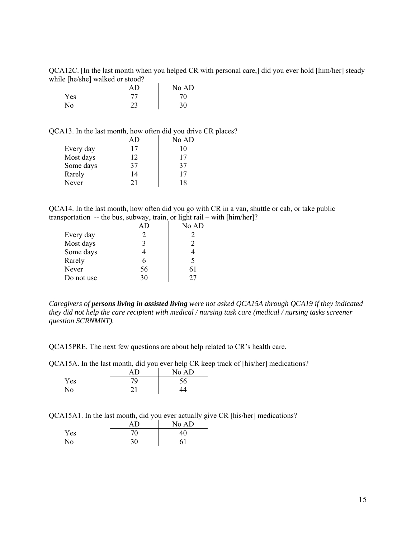QCA12C. [In the last month when you helped CR with personal care,] did you ever hold [him/her] steady while [he/she] walked or stood?

|     |    | No AD |
|-----|----|-------|
| Yes | 77 | 70    |
| No  | າາ | 30    |

QCA13. In the last month, how often did you drive CR places?

|           |    | No AD |
|-----------|----|-------|
| Every day | 17 | 10    |
| Most days | 12 | 17    |
| Some days | 37 | 37    |
| Rarely    | 14 | 17    |
| Never     | 21 | 18    |

QCA14. In the last month, how often did you go with CR in a van, shuttle or cab, or take public transportation -- the bus, subway, train, or light rail – with [him/her]?

|            |    | No AD                       |
|------------|----|-----------------------------|
| Every day  |    | 2                           |
| Most days  |    | $\mathcal{D}_{\mathcal{L}}$ |
| Some days  |    |                             |
| Rarely     | 6  |                             |
| Never      | 56 | 61                          |
| Do not use | 30 | 27                          |

*Caregivers of persons living in assisted living were not asked QCA15A through QCA19 if they indicated they did not help the care recipient with medical / nursing task care (medical / nursing tasks screener question SCRNMNT).* 

QCA15PRE. The next few questions are about help related to CR's health care.

QCA15A. In the last month, did you ever help CR keep track of [his/her] medications?

|     | ΑD | No AD |
|-----|----|-------|
| Yes | 79 | 56    |
| No  |    |       |

QCA15A1. In the last month, did you ever actually give CR [his/her] medications?

|                | AD | No AD |
|----------------|----|-------|
| Yes            | 70 | 40    |
| N <sub>o</sub> | 30 | 61    |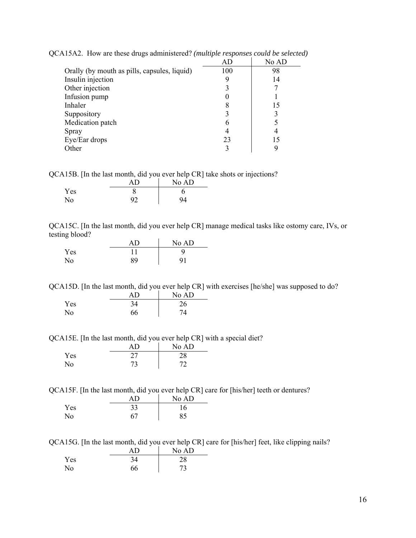|                                              | AD  | No AD |
|----------------------------------------------|-----|-------|
| Orally (by mouth as pills, capsules, liquid) | 100 | 98    |
| Insulin injection                            |     | 14    |
| Other injection                              |     |       |
| Infusion pump                                |     |       |
| Inhaler                                      | 8   | 15    |
| Suppository                                  |     |       |
| Medication patch                             | 6   |       |
| Spray                                        |     |       |
| Eye/Ear drops                                | 23  | 15    |
| Other                                        |     |       |

QCA15A2. How are these drugs administered? *(multiple responses could be selected)* 

QCA15B. [In the last month, did you ever help CR] take shots or injections?

|     | . .<br>AΠ | -<br>No AD |
|-----|-----------|------------|
| Yes |           |            |
| No  | 92        | 94         |

QCA15C. [In the last month, did you ever help CR] manage medical tasks like ostomy care, IVs, or testing blood?

|     | AD | No AD          |
|-----|----|----------------|
| Yes |    |                |
| No. | 89 | Q <sub>1</sub> |

QCA15D. [In the last month, did you ever help CR] with exercises [he/she] was supposed to do?

|            | AD | No AD |
|------------|----|-------|
| <b>Yes</b> | 34 | 26    |
| No         | 66 | 74    |

QCA15E. [In the last month, did you ever help CR] with a special diet?

|                | ΑŊ | No AD |
|----------------|----|-------|
| Yes            |    | 28    |
| N <sub>o</sub> | 73 | 72    |

QCA15F. [In the last month, did you ever help CR] care for [his/her] teeth or dentures?

|                | ΑŊ | No AD |
|----------------|----|-------|
| Yes            | 33 | 16    |
| N <sub>o</sub> | 67 | 85    |

QCA15G. [In the last month, did you ever help CR] care for [his/her] feet, like clipping nails?

|     | AΒ | No AD |
|-----|----|-------|
| Yes | 34 | 28    |
| No  | 66 |       |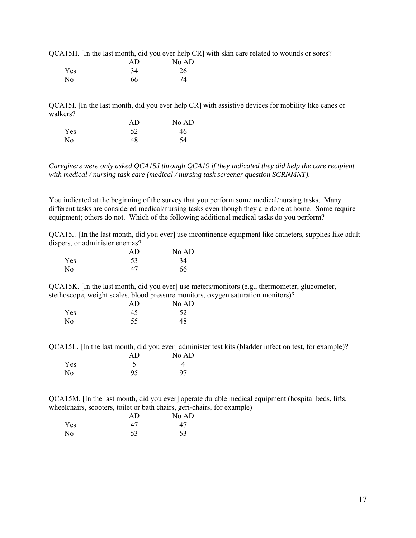QCA15H. [In the last month, did you ever help CR] with skin care related to wounds or sores?

|     | AD | No AD |
|-----|----|-------|
| Yes | 34 | 26    |
| No  | 66 | 74    |

QCA15I. [In the last month, did you ever help CR] with assistive devices for mobility like canes or walkers?

|                | AD | No AD |
|----------------|----|-------|
| Yes            | 52 | 46    |
| N <sub>o</sub> | 48 | ۲4    |

*Caregivers were only asked QCA15J through QCA19 if they indicated they did help the care recipient with medical / nursing task care (medical / nursing task screener question SCRNMNT).* 

You indicated at the beginning of the survey that you perform some medical/nursing tasks. Many different tasks are considered medical/nursing tasks even though they are done at home. Some require equipment; others do not. Which of the following additional medical tasks do you perform?

QCA15J. [In the last month, did you ever] use incontinence equipment like catheters, supplies like adult diapers, or administer enemas?

|     | AD | No AD |
|-----|----|-------|
| Yes | 53 | 34    |
| No  |    | 66    |

QCA15K. [In the last month, did you ever] use meters/monitors (e.g., thermometer, glucometer, stethoscope, weight scales, blood pressure monitors, oxygen saturation monitors)?

|                | ΑD | No AD |
|----------------|----|-------|
| Yes            |    | 52    |
| N <sub>o</sub> | 55 | 48    |

QCA15L. [In the last month, did you ever] administer test kits (bladder infection test, for example)?

|     | AP | No AD |
|-----|----|-------|
| Yes |    |       |
| No  |    | 07    |

QCA15M. [In the last month, did you ever] operate durable medical equipment (hospital beds, lifts, wheelchairs, scooters, toilet or bath chairs, geri-chairs, for example)

|     | AD | No AD |
|-----|----|-------|
| Yes |    |       |
| No  | 53 | 53    |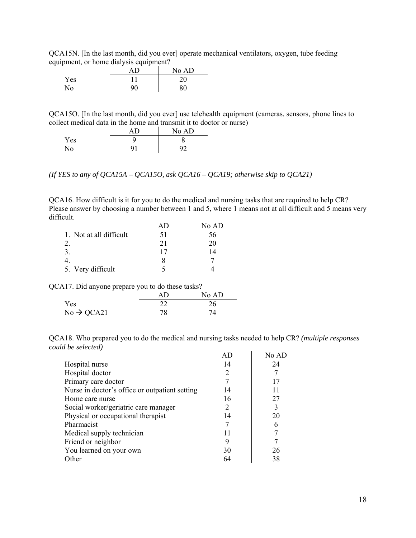QCA15N. [In the last month, did you ever] operate mechanical ventilators, oxygen, tube feeding equipment, or home dialysis equipment?

|     | - 1<br>ΑD | No AD |
|-----|-----------|-------|
| Yes |           | 20    |
| No  | 90        | 80    |

QCA15O. [In the last month, did you ever] use telehealth equipment (cameras, sensors, phone lines to collect medical data in the home and transmit it to doctor or nurse)

|     | ΑD  | No AD |
|-----|-----|-------|
| Yes |     |       |
| No. | Q 1 | Q٥    |

*(If YES to any of QCA15A – QCA15O, ask QCA16 – QCA19; otherwise skip to QCA21)* 

QCA16. How difficult is it for you to do the medical and nursing tasks that are required to help CR? Please answer by choosing a number between 1 and 5, where 1 means not at all difficult and 5 means very difficult.

|                         |    | No AD |
|-------------------------|----|-------|
| 1. Not at all difficult | 51 | 56    |
|                         | 21 | 20    |
|                         |    | 14    |
|                         |    |       |
| 5. Very difficult       |    |       |

QCA17. Did anyone prepare you to do these tasks?

|                        |    | No AD |
|------------------------|----|-------|
| Yes                    |    | 26    |
| $No \rightarrow QCA21$ | 78 |       |

QCA18. Who prepared you to do the medical and nursing tasks needed to help CR? *(multiple responses could be selected)* 

|                                                | AD | No AD |
|------------------------------------------------|----|-------|
| Hospital nurse                                 | 14 | 24    |
| Hospital doctor                                |    |       |
| Primary care doctor                            |    | 17    |
| Nurse in doctor's office or outpatient setting | 14 | 11    |
| Home care nurse                                | 16 | 27    |
| Social worker/geriatric care manager           |    | 3     |
| Physical or occupational therapist             | 14 | 20    |
| Pharmacist                                     |    | 6     |
| Medical supply technician                      |    |       |
| Friend or neighbor                             | 9  |       |
| You learned on your own                        | 30 | 26    |
| Other                                          |    | 38    |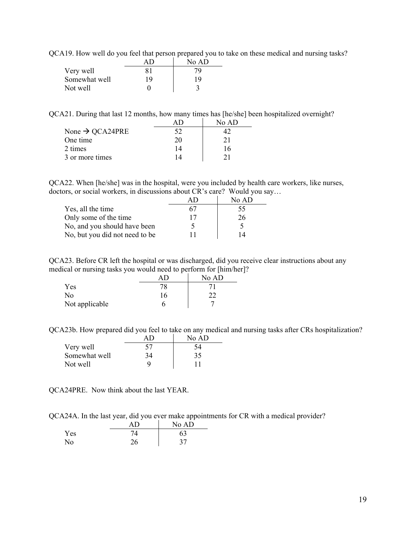QCA19. How well do you feel that person prepared you to take on these medical and nursing tasks?

|               |    | No AD |
|---------------|----|-------|
| Very well     | 81 | 79    |
| Somewhat well | 19 | 19    |
| Not well      |    |       |

QCA21. During that last 12 months, how many times has [he/she] been hospitalized overnight?

|                             |    | No AD |
|-----------------------------|----|-------|
| None $\rightarrow$ QCA24PRE | 52 |       |
| One time                    | 20 | 21    |
| 2 times                     | 14 | 16    |
| 3 or more times             | 14 | ን 1   |

QCA22. When [he/she] was in the hospital, were you included by health care workers, like nurses, doctors, or social workers, in discussions about CR's care? Would you say…

|                                |    | No AD |
|--------------------------------|----|-------|
| Yes, all the time              | 67 | 55    |
| Only some of the time          | 17 | 26    |
| No, and you should have been   |    |       |
| No, but you did not need to be |    | 14    |

QCA23. Before CR left the hospital or was discharged, did you receive clear instructions about any medical or nursing tasks you would need to perform for [him/her]?

|                |    | No AD |
|----------------|----|-------|
| <b>Yes</b>     |    |       |
| No             | 16 |       |
| Not applicable |    |       |

QCA23b. How prepared did you feel to take on any medical and nursing tasks after CRs hospitalization?

|               |    | No AD |
|---------------|----|-------|
| Very well     | 57 | 54    |
| Somewhat well | 34 | 35    |
| Not well      | Q  |       |

QCA24PRE. Now think about the last YEAR.

QCA24A. In the last year, did you ever make appointments for CR with a medical provider?

|     | ΑD | No AD |
|-----|----|-------|
| Yes |    | 63    |
| No  | 26 | 37    |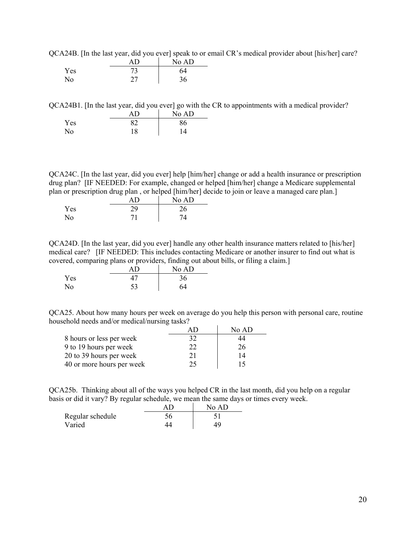QCA24B. [In the last year, did you ever] speak to or email CR's medical provider about [his/her] care?

|     | AD | No AD |
|-----|----|-------|
| Yes |    | 64    |
| No  |    | 36    |

QCA24B1. [In the last year, did you ever] go with the CR to appointments with a medical provider?

|     | AD | No AD |
|-----|----|-------|
| Yes | 82 | 86    |
| No  | 18 | 14    |

QCA24C. [In the last year, did you ever] help [him/her] change or add a health insurance or prescription drug plan? [IF NEEDED: For example, changed or helped [him/her] change a Medicare supplemental plan or prescription drug plan , or helped [him/her] decide to join or leave a managed care plan.]

|     |    | No AD |
|-----|----|-------|
| Yes | 29 | 26    |
| No  |    | 74    |

QCA24D. [In the last year, did you ever] handle any other health insurance matters related to [his/her] medical care? [IF NEEDED: This includes contacting Medicare or another insurer to find out what is covered, comparing plans or providers, finding out about bills, or filing a claim.]

| $\sim$<br>- - | $\sim$ | No AD |
|---------------|--------|-------|
| Yes           |        | 36    |
| No            | 53     | 64    |

QCA25. About how many hours per week on average do you help this person with personal care, routine household needs and/or medical/nursing tasks?

|                           |              | No AD |
|---------------------------|--------------|-------|
| 8 hours or less per week  | 32           | 44    |
| 9 to 19 hours per week    | $22^{\circ}$ | 26    |
| 20 to 39 hours per week   |              | 14    |
| 40 or more hours per week | 25           | 15    |

QCA25b. Thinking about all of the ways you helped CR in the last month, did you help on a regular basis or did it vary? By regular schedule, we mean the same days or times every week.

|                  | No AD |
|------------------|-------|
| Regular schedule |       |
| Varied           | 49    |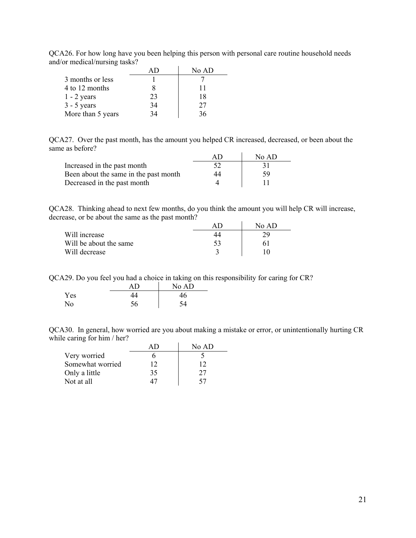QCA26. For how long have you been helping this person with personal care routine household needs and/or medical/nursing tasks?

|                   |    | No AD |
|-------------------|----|-------|
| 3 months or less  |    |       |
| 4 to 12 months    |    |       |
| $1 - 2$ years     | 23 | 18    |
| $3 - 5$ years     | 34 | 27    |
| More than 5 years | 34 |       |

QCA27. Over the past month, has the amount you helped CR increased, decreased, or been about the same as before?

|                                       | AII | No AD |
|---------------------------------------|-----|-------|
| Increased in the past month           |     |       |
| Been about the same in the past month | 44  | 59    |
| Decreased in the past month           |     |       |

QCA28. Thinking ahead to next few months, do you think the amount you will help CR will increase, decrease, or be about the same as the past month?

|                        |    | $N_0$ AD |
|------------------------|----|----------|
| Will increase          | 44 | 29       |
| Will be about the same |    |          |
| Will decrease          |    |          |

QCA29. Do you feel you had a choice in taking on this responsibility for caring for CR?

|     | ΑD | No AD |
|-----|----|-------|
| Yes |    | 46    |
| No  | 56 | ۲4    |

QCA30. In general, how worried are you about making a mistake or error, or unintentionally hurting CR while caring for him / her?

|                  |    | No AD |
|------------------|----|-------|
| Very worried     |    |       |
| Somewhat worried | 12 | כי ו  |
| Only a little    | 35 | 27    |
| Not at all       |    | 57    |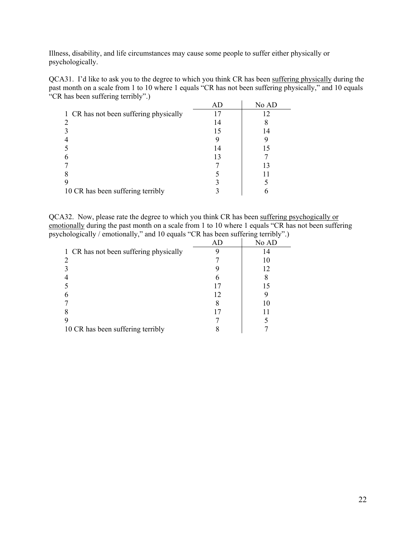Illness, disability, and life circumstances may cause some people to suffer either physically or psychologically.

QCA31. I'd like to ask you to the degree to which you think CR has been suffering physically during the past month on a scale from 1 to 10 where 1 equals "CR has not been suffering physically," and 10 equals "CR has been suffering terribly".)

|                                        |    | No AD |
|----------------------------------------|----|-------|
| 1 CR has not been suffering physically |    |       |
|                                        | 14 |       |
|                                        | 15 | 14    |
|                                        |    |       |
|                                        | 14 |       |
|                                        | 13 |       |
|                                        |    | 13    |
|                                        |    |       |
|                                        |    |       |
| 10 CR has been suffering terribly      |    |       |

QCA32. Now, please rate the degree to which you think CR has been suffering psychogically or emotionally during the past month on a scale from 1 to 10 where 1 equals "CR has not been suffering psychologically / emotionally," and 10 equals "CR has been suffering terribly".)

|                                        | AD | No AD |
|----------------------------------------|----|-------|
| 1 CR has not been suffering physically |    |       |
|                                        |    |       |
|                                        |    | 12    |
|                                        |    |       |
|                                        |    | 15    |
|                                        | 12 |       |
|                                        |    |       |
|                                        |    |       |
|                                        |    |       |
| 10 CR has been suffering terribly      |    |       |
|                                        |    |       |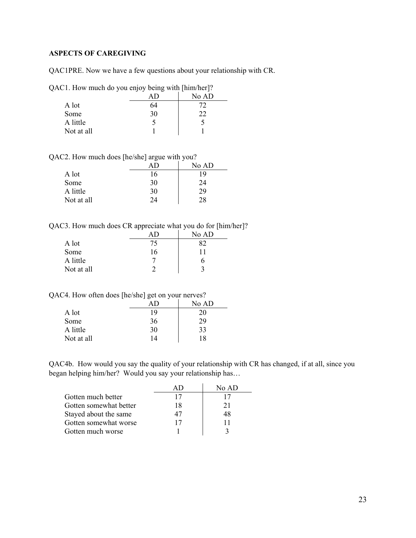## <span id="page-22-0"></span>**ASPECTS OF CAREGIVING**

QAC1PRE. Now we have a few questions about your relationship with CR.

QAC1. How much do you enjoy being with [him/her]?

|            |    | -<br>No AD |
|------------|----|------------|
| A lot      | 64 | 72         |
| Some       | 30 | 22         |
| A little   |    |            |
| Not at all |    |            |

QAC2. How much does [he/she] argue with you?

|            |    | No AD |
|------------|----|-------|
| A lot      | 16 | 19    |
| Some       | 30 | 24    |
| A little   | 30 | 29    |
| Not at all | 24 | 28    |

QAC3. How much does CR appreciate what you do for [him/her]?

|            |    | No AD |
|------------|----|-------|
| A lot      | 75 | 82    |
| Some       | 16 |       |
| A little   |    | n     |
| Not at all |    |       |

QAC4. How often does [he/she] get on your nerves?

|            |    | No AD |
|------------|----|-------|
| A lot      | 19 | 20    |
| Some       | 36 | 29    |
| A little   | 30 | 33    |
| Not at all | 14 | 18    |

QAC4b. How would you say the quality of your relationship with CR has changed, if at all, since you began helping him/her? Would you say your relationship has…

|                        |    | No $AD$ |
|------------------------|----|---------|
| Gotten much better     |    | 17      |
| Gotten somewhat better | 18 | 21      |
| Stayed about the same  |    | 48      |
| Gotten somewhat worse  |    | 11      |
| Gotten much worse      |    |         |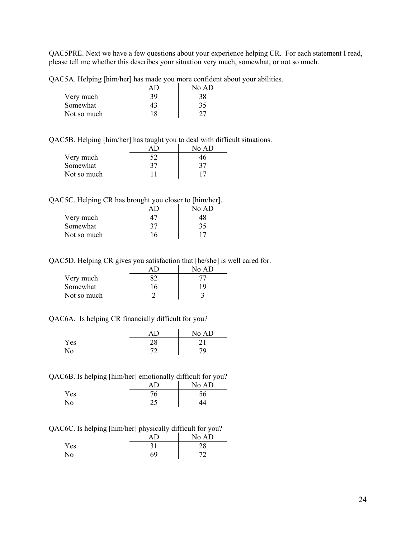QAC5PRE. Next we have a few questions about your experience helping CR. For each statement I read, please tell me whether this describes your situation very much, somewhat, or not so much.

QAC5A. Helping [him/her] has made you more confident about your abilities.

|             |     | No AD |
|-------------|-----|-------|
| Very much   | 39. | 38    |
| Somewhat    | 43  | 35    |
| Not so much | 18  | 27    |

QAC5B. Helping [him/her] has taught you to deal with difficult situations.

|             |    | No AD |
|-------------|----|-------|
| Very much   | 52 | 46    |
| Somewhat    | 37 | 37    |
| Not so much |    |       |

QAC5C. Helping CR has brought you closer to [him/her].

|             |    | No AD |
|-------------|----|-------|
| Very much   |    | 18    |
| Somewhat    | 37 | 35    |
| Not so much | 16 | 17    |

QAC5D. Helping CR gives you satisfaction that [he/she] is well cared for.

|             |    | No AD |
|-------------|----|-------|
| Very much   |    |       |
| Somewhat    | 16 | 19    |
| Not so much |    |       |

#### QAC6A. Is helping CR financially difficult for you?

|     |          | No AD |
|-----|----------|-------|
| Yes | ററ<br>20 | ົາ 1  |
| No. | ⇁        | 79    |

QAC6B. Is helping [him/her] emotionally difficult for you?

|     | ΔŊ        | No AD |
|-----|-----------|-------|
| Yes | 76        | 56    |
| No  | つぐ<br>ر گ |       |

QAC6C. Is helping [him/her] physically difficult for you?

| <br>. . | . . | . .<br>No AD |
|---------|-----|--------------|
| Yes     | 31  | 28           |
| No      | 69  |              |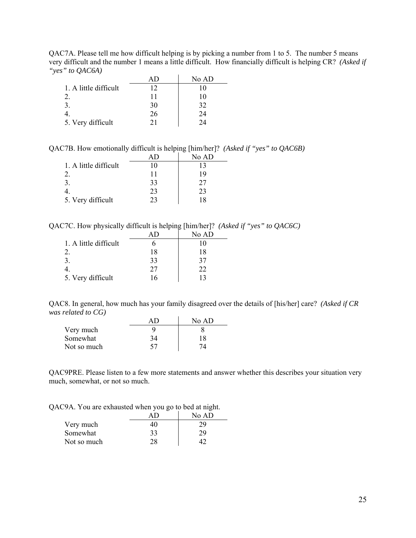QAC7A. Please tell me how difficult helping is by picking a number from 1 to 5. The number 5 means very difficult and the number 1 means a little difficult. How financially difficult is helping CR? *(Asked if "yes" to QAC6A)*

|                       |    | No AD |
|-----------------------|----|-------|
| 1. A little difficult | 12 |       |
|                       | 11 | 10    |
|                       | 30 | 32    |
|                       | 26 | 24    |
| 5. Very difficult     |    | ) Д   |

QAC7B. How emotionally difficult is helping [him/her]? *(Asked if "yes" to QAC6B)* 

|                       |    | No AD |
|-----------------------|----|-------|
| 1. A little difficult | 10 | 13    |
|                       | 11 | 19    |
| 3.                    | 33 | 27    |
|                       | 23 | 23    |
| 5. Very difficult     | 23 | 18    |

QAC7C. How physically difficult is helping [him/her]? *(Asked if "yes" to QAC6C)*

|                       |    | No AD |
|-----------------------|----|-------|
| 1. A little difficult |    |       |
|                       | 18 | 18    |
|                       | 33 | 37    |
|                       | 27 | フフ    |
| 5. Very difficult     | 16 |       |

QAC8. In general, how much has your family disagreed over the details of [his/her] care? *(Asked if CR was related to CG)* 

|             |    | No AD |
|-------------|----|-------|
| Very much   |    |       |
| Somewhat    | 34 | 18    |
| Not so much | 57 |       |

QAC9PRE. Please listen to a few more statements and answer whether this describes your situation very much, somewhat, or not so much.

QAC9A. You are exhausted when you go to bed at night.

|             |    | No AD |
|-------------|----|-------|
| Very much   | 40 | 29    |
| Somewhat    | 33 | 29    |
| Not so much |    |       |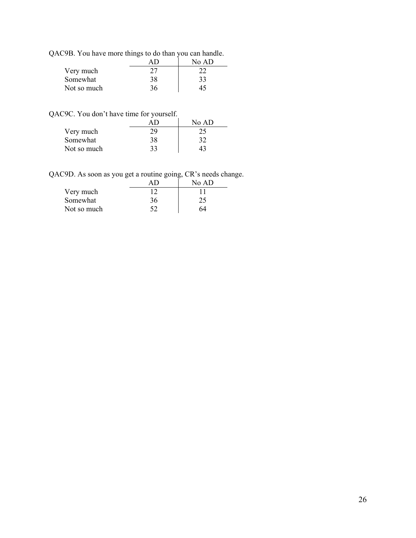QAC9B. You have more things to do than you can handle.

|             |    | No AD |
|-------------|----|-------|
| Very much   |    |       |
| Somewhat    | 38 | 33    |
| Not so much | 36 |       |

QAC9C. You don't have time for yourself.

|             |    | No AD |
|-------------|----|-------|
| Very much   | 29 | 25    |
| Somewhat    | 38 | 32    |
| Not so much | २२ |       |

QAC9D. As soon as you get a routine going, CR's needs change.

|             |    | No AD |
|-------------|----|-------|
| Very much   |    |       |
| Somewhat    | 36 | 25    |
| Not so much |    | 64    |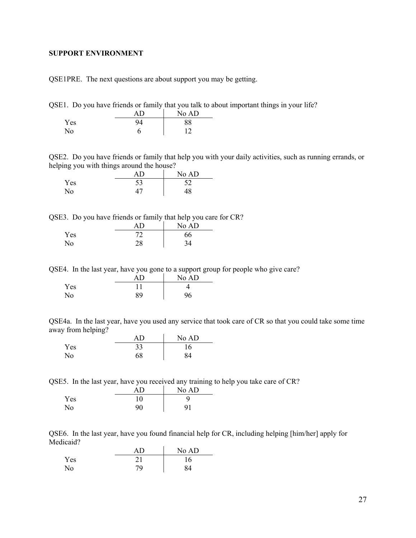#### <span id="page-26-0"></span>**SUPPORT ENVIRONMENT**

QSE1PRE. The next questions are about support you may be getting.

QSE1. Do you have friends or family that you talk to about important things in your life?

|                | AD | No AD |
|----------------|----|-------|
| Yes            | 94 | 88    |
| N <sub>o</sub> |    | 1つ    |

QSE2. Do you have friends or family that help you with your daily activities, such as running errands, or helping you with things around the house?

|     |    | No AD |
|-----|----|-------|
| Yes | 53 | 52    |
| No  |    | 48    |

QSE3. Do you have friends or family that help you care for CR?

|     |                      | No AD |
|-----|----------------------|-------|
| Yes | רי<br>$\overline{ }$ | 66    |
| No  | 28                   | 34    |

QSE4. In the last year, have you gone to a support group for people who give care?

|     | ΔŊ | No AD |
|-----|----|-------|
| Yes |    |       |
| No  | 89 | 96    |

QSE4a. In the last year, have you used any service that took care of CR so that you could take some time away from helping?

|                | ΑD | No AD |
|----------------|----|-------|
| Yes            | 33 | 16    |
| N <sub>0</sub> | 68 | 84    |

QSE5. In the last year, have you received any training to help you take care of CR?

|     | AΒ | No AD |
|-----|----|-------|
| Yes | 10 |       |
| No  | 90 | 91    |

QSE6. In the last year, have you found financial help for CR, including helping [him/her] apply for Medicaid?

|     |    | No AD |
|-----|----|-------|
| Yes |    | 16    |
| No  | 79 | 84    |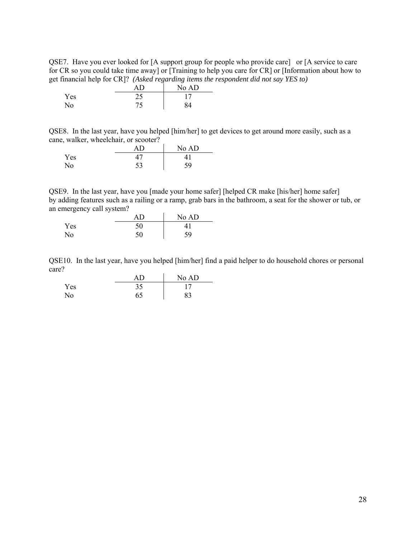QSE7. Have you ever looked for [A support group for people who provide care] or [A service to care for CR so you could take time away] or [Training to help you care for CR] or [Information about how to get financial help for CR]? *(Asked regarding items the respondent did not say YES to)* 

|     | ΑD         | No AD |
|-----|------------|-------|
| Yes | つく<br>ں کے |       |
| No  | 75<br>IJ   | 84    |

QSE8. In the last year, have you helped [him/her] to get devices to get around more easily, such as a cane, walker, wheelchair, or scooter?

|     | ΑD | No AD |
|-----|----|-------|
| Yes |    |       |
| No  | 53 | 59    |

QSE9. In the last year, have you [made your home safer] [helped CR make [his/her] home safer] by adding features such as a railing or a ramp, grab bars in the bathroom, a seat for the shower or tub, or an emergency call system?

|     |    | No AD |
|-----|----|-------|
| Yes | 50 |       |
| No. | 50 | 59    |

QSE10. In the last year, have you helped [him/her] find a paid helper to do household chores or personal care?

|     |    | No AD |
|-----|----|-------|
| Yes | 35 |       |
| No  | 65 | 83    |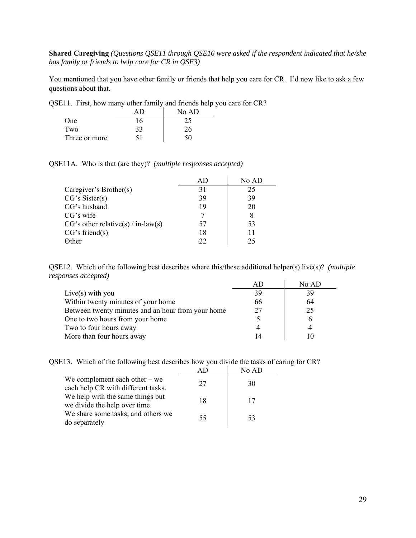**Shared Caregiving** *(Questions QSE11 through QSE16 were asked if the respondent indicated that he/she has family or friends to help care for CR in QSE3)* 

You mentioned that you have other family or friends that help you care for CR. I'd now like to ask a few questions about that.

QSE11. First, how many other family and friends help you care for CR?

|               |    | No AD |
|---------------|----|-------|
| One           | 16 | 25    |
| Two           | 33 | 26    |
| Three or more |    |       |

QSE11A. Who is that (are they)? *(multiple responses accepted)*

|                                    |    | No AD |
|------------------------------------|----|-------|
| Caregiver's Brother(s)             | 31 | 25    |
| CG's Sister(s)                     | 39 | 39    |
| CG's husband                       | 19 | 20    |
| $CG's$ wife                        |    | 8     |
| CG's other relative(s) / in-law(s) | 57 | 53    |
| CG's friend(s)                     | 18 | 11    |
| Other                              | າາ | 25    |

QSE12. Which of the following best describes where this/these additional helper(s) live(s)? *(multiple responses accepted)*

|                                                   |    | No AD |
|---------------------------------------------------|----|-------|
| Live(s) with you                                  | 39 | 39    |
| Within twenty minutes of your home                | 66 | 64    |
| Between twenty minutes and an hour from your home | 27 | 25    |
| One to two hours from your home                   |    | 6     |
| Two to four hours away                            |    |       |
| More than four hours away                         |    |       |

| QSE13. Which of the following best describes how you divide the tasks of caring for CR? |  |  |
|-----------------------------------------------------------------------------------------|--|--|
|                                                                                         |  |  |

|                                                                       |    | No AD |  |
|-----------------------------------------------------------------------|----|-------|--|
| We complement each other $-$ we<br>each help CR with different tasks. | 27 | 30    |  |
| We help with the same things but<br>we divide the help over time.     | 18 | 17    |  |
| We share some tasks, and others we<br>do separately                   | 55 | 53    |  |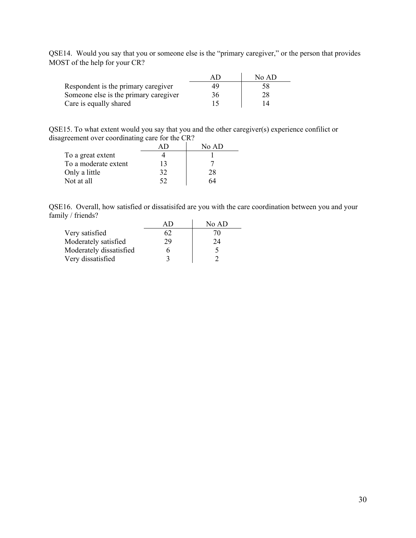QSE14. Would you say that you or someone else is the "primary caregiver," or the person that provides MOST of the help for your CR?

|                                       |    | No AD |
|---------------------------------------|----|-------|
| Respondent is the primary caregiver   | 49 | 58    |
| Someone else is the primary caregiver | 36 | 28    |
| Care is equally shared                |    |       |

QSE15. To what extent would you say that you and the other caregiver(s) experience confilict or disagreement over coordinating care for the CR?

|                      |    | No AD |
|----------------------|----|-------|
| To a great extent    |    |       |
| To a moderate extent | 13 |       |
| Only a little        | 32 | 28    |
| Not at all           | 52 | 64    |

QSE16. Overall, how satisfied or dissatisifed are you with the care coordination between you and your family / friends?

|                         |    | No AD |
|-------------------------|----|-------|
| Very satisfied          | 62 | 70    |
| Moderately satisfied    | 29 | 24    |
| Moderately dissatisfied |    |       |
| Very dissatisfied       |    |       |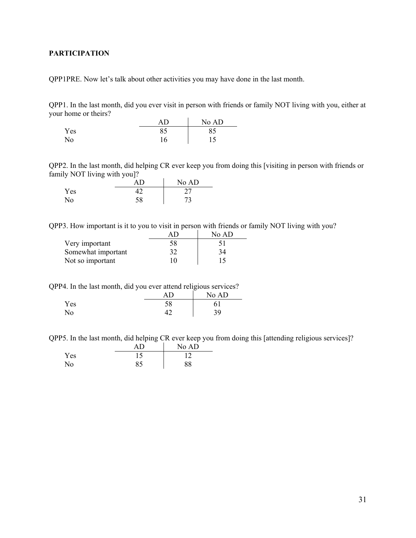## <span id="page-30-0"></span>**PARTICIPATION**

QPP1PRE. Now let's talk about other activities you may have done in the last month.

QPP1. In the last month, did you ever visit in person with friends or family NOT living with you, either at your home or theirs?

|     |    | No AD |
|-----|----|-------|
| Yes | 85 | 85    |
| No  | 16 | 15    |

QPP2. In the last month, did helping CR ever keep you from doing this [visiting in person with friends or family NOT living with you]?

| . .<br> | . .<br>ΑD | No AD |
|---------|-----------|-------|
| Yes     |           |       |
| No      | 58        | 73    |

QPP3. How important is it to you to visit in person with friends or family NOT living with you?

|                    |    | No AD |
|--------------------|----|-------|
| Very important     | 58 |       |
| Somewhat important | 32 | 34    |
| Not so important   | 10 | 15    |

QPP4. In the last month, did you ever attend religious services?

|     |          | No AD |
|-----|----------|-------|
| Yes | ۲Q<br>υo |       |
| No  |          | 39    |

QPP5. In the last month, did helping CR ever keep you from doing this [attending religious services]?

|     | ΑD | No AD |
|-----|----|-------|
| Yes |    |       |
| No  | 85 | 88    |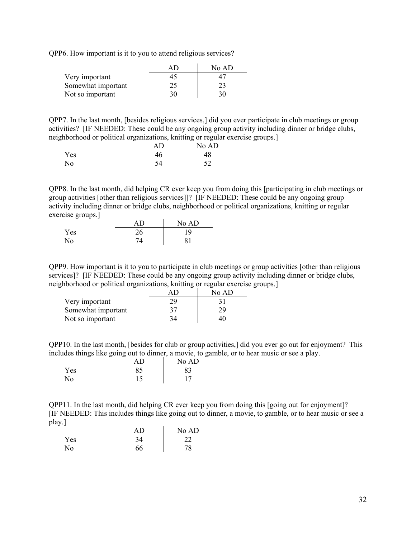QPP6. How important is it to you to attend religious services?

|                    | ΔF | No AD |
|--------------------|----|-------|
| Very important     | 45 |       |
| Somewhat important | 25 | 23    |
| Not so important   | 30 | 30    |

QPP7. In the last month, [besides religious services,] did you ever participate in club meetings or group activities? [IF NEEDED: These could be any ongoing group activity including dinner or bridge clubs, neighborhood or political organizations, knitting or regular exercise groups.]

| $\sim$ |    | No AD |
|--------|----|-------|
| Yes    | 46 | 48    |
| No     |    | ເາ    |

QPP8. In the last month, did helping CR ever keep you from doing this [participating in club meetings or group activities [other than religious services]]? [IF NEEDED: These could be any ongoing group activity including dinner or bridge clubs, neighborhood or political organizations, knitting or regular exercise groups.]

|     | ΔŊ | No AD |
|-----|----|-------|
| Yes | ገሬ | 19    |
| No  |    | О 1   |

QPP9. How important is it to you to participate in club meetings or group activities [other than religious services]? [IF NEEDED: These could be any ongoing group activity including dinner or bridge clubs, neighborhood or political organizations, knitting or regular exercise groups.]

|                    |    | No AD |
|--------------------|----|-------|
| Very important     | 29 |       |
| Somewhat important | 37 | 29    |
| Not so important   | 34 | 40    |

QPP10. In the last month, [besides for club or group activities,] did you ever go out for enjoyment? This includes things like going out to dinner, a movie, to gamble, or to hear music or see a play.

| -<br>- | -  | . .<br>-<br>No AD |
|--------|----|-------------------|
| Yes    | oς | 83                |
| No     |    | 17                |

QPP11. In the last month, did helping CR ever keep you from doing this [going out for enjoyment]? [IF NEEDED: This includes things like going out to dinner, a movie, to gamble, or to hear music or see a play.]

|     |    | No AD |
|-----|----|-------|
| Yes | 34 | ົ     |
| No. | 66 | 78    |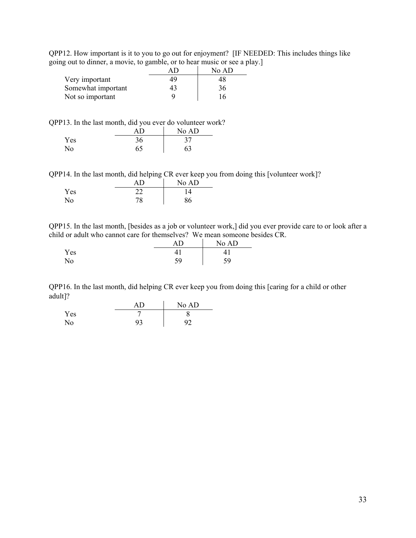QPP12. How important is it to you to go out for enjoyment? [IF NEEDED: This includes things like going out to dinner, a movie, to gamble, or to hear music or see a play.]

|                    |    | No AD |
|--------------------|----|-------|
| Very important     | 49 | 48    |
| Somewhat important | 43 | 36    |
| Not so important   |    |       |

QPP13. In the last month, did you ever do volunteer work?

|     | ΑD | No AD |
|-----|----|-------|
| Yes | 36 |       |
| No  | 65 | 63    |

QPP14. In the last month, did helping CR ever keep you from doing this [volunteer work]?

|     |          | No AD |  |
|-----|----------|-------|--|
| Yes | ົາ       |       |  |
| No  | 70<br>70 | 86    |  |

QPP15. In the last month, [besides as a job or volunteer work,] did you ever provide care to or look after a child or adult who cannot care for themselves? We mean someone besides CR.

|     |           | No AD |
|-----|-----------|-------|
| Yes |           |       |
| No  | 50<br>ر ر | 59    |

QPP16. In the last month, did helping CR ever keep you from doing this [caring for a child or other adult]? J.

|     |    | No AD |
|-----|----|-------|
| Yes |    |       |
| No  | 93 | റാ    |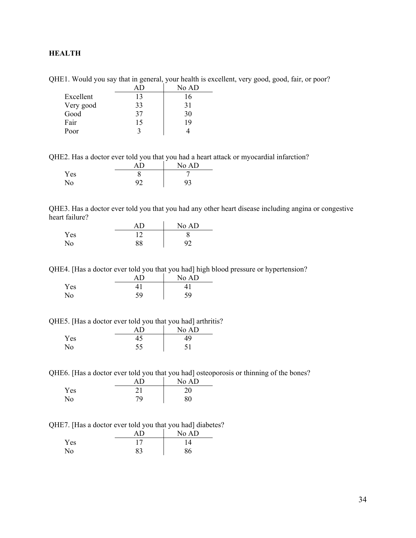## <span id="page-33-0"></span>**HEALTH**

|           |    | No AD |
|-----------|----|-------|
| Excellent | 13 | 16    |
| Very good | 33 | 31    |
| Good      | 37 | 30    |
| Fair      | 15 | 19    |
| Poor      |    |       |

QHE1. Would you say that in general, your health is excellent, very good, good, fair, or poor?

QHE2. Has a doctor ever told you that you had a heart attack or myocardial infarction?

|     | Δn | No AD          |
|-----|----|----------------|
| Yes |    |                |
| No  |    | Q <sub>3</sub> |

QHE3. Has a doctor ever told you that you had any other heart disease including angina or congestive heart failure?

|     |    | No AD |
|-----|----|-------|
| Yes |    |       |
| No  | 88 | 92    |

QHE4. [Has a doctor ever told you that you had] high blood pressure or hypertension?

|     |    | No AD |
|-----|----|-------|
| Yes |    |       |
| No  | 59 | 59    |

QHE5. [Has a doctor ever told you that you had] arthritis?

|     | ΔŊ | No AD |
|-----|----|-------|
| Yes |    | 49    |
| No  | 55 | 51    |

QHE6. [Has a doctor ever told you that you had] osteoporosis or thinning of the bones?

|                | ΑD           | No AD |
|----------------|--------------|-------|
| Yes            | $^{\circ}$ 1 | 20    |
| N <sub>o</sub> | 79           | 80    |

QHE7. [Has a doctor ever told you that you had] diabetes?

|     | AD | No AD |
|-----|----|-------|
| Yes |    |       |
| No  | 83 | 86    |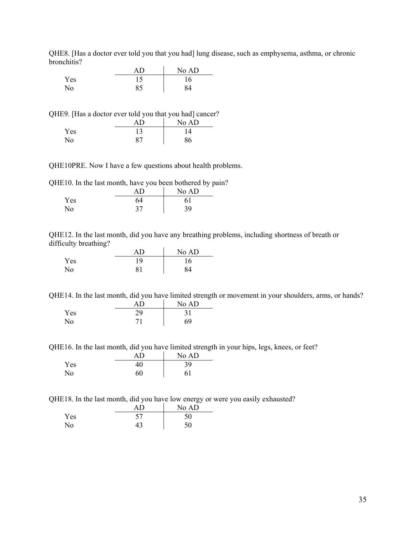QHE8. [Has a doctor ever told you that you had] lung disease, such as emphysema, asthma, or chronic bronchitis?  $\bar{a}$ 

|                | ΔŊ | No AD |
|----------------|----|-------|
| Yes            |    | 16    |
| N <sub>o</sub> | 85 | 84    |

QHE9. [Has a doctor ever told you that you had] cancer?

|     |                | No AD |
|-----|----------------|-------|
| Yes |                | 14    |
| No  | O <sub>7</sub> | 86    |

QHE10PRE. Now I have a few questions about health problems.

QHE10. In the last month, have you been bothered by pain?

|     | ΑD | No AD |
|-----|----|-------|
| Yes | 64 | 61    |
| No  | 27 | 39    |

QHE12. In the last month, did you have any breathing problems, including shortness of breath or difficulty breathing?

|     | ΑD | No AD |
|-----|----|-------|
| Yes | 19 | 16    |
| No  | 81 | 84    |

QHE14. In the last month, did you have limited strength or movement in your shoulders, arms, or hands?  $AD$   $N_0 AD$ 

|     | AD | $150 \, \text{AU}$ |
|-----|----|--------------------|
| Yes | 29 |                    |
| No. |    | 69                 |

QHE16. In the last month, did you have limited strength in your hips, legs, knees, or feet?

|     | AD | No AD |
|-----|----|-------|
| Yes | +v | 39    |
| No  | 60 | 61    |

QHE18. In the last month, did you have low energy or were you easily exhausted?

|                |    | No AD |
|----------------|----|-------|
| Yes            | 57 | 50    |
| N <sub>0</sub> |    | 50    |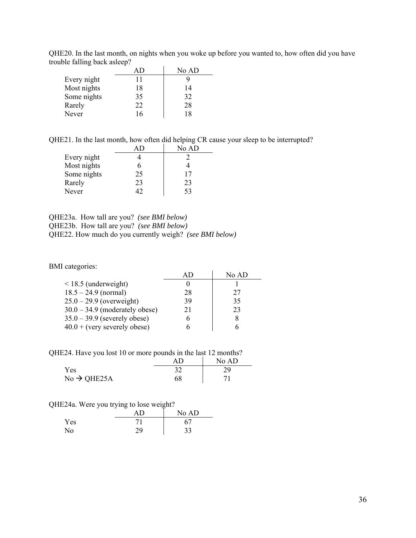QHE20. In the last month, on nights when you woke up before you wanted to, how often did you have trouble falling back asleep?

|             | AΠ | No AD |
|-------------|----|-------|
| Every night | 11 |       |
| Most nights | 18 | 14    |
| Some nights | 35 | 32    |
| Rarely      | 22 | 28    |
| Never       | 16 | 18    |

QHE21. In the last month, how often did helping CR cause your sleep to be interrupted?

|             |    | No AD |
|-------------|----|-------|
| Every night |    |       |
| Most nights |    |       |
| Some nights | 25 | 17    |
| Rarely      | 23 | 23    |
| Never       |    | 53    |

QHE23a. How tall are you? *(see BMI below)* QHE23b. How tall are you? *(see BMI below)* QHE22. How much do you currently weigh? *(see BMI below)* 

BMI categories:

| categories:                      |    |       |
|----------------------------------|----|-------|
|                                  | AD | No AD |
| $\leq$ 18.5 (underweight)        |    |       |
| $18.5 - 24.9$ (normal)           | 28 | 27    |
| $25.0 - 29.9$ (overweight)       | 39 | 35    |
| $30.0 - 34.9$ (moderately obese) | 21 | 23    |
| $35.0 - 39.9$ (severely obese)   | 6  | 8     |
| $40.0 +$ (very severely obese)   |    |       |

QHE24. Have you lost 10 or more pounds in the last 12 months?

|                         | ΑD | No AD |
|-------------------------|----|-------|
| Yes                     |    | 29    |
| $No \rightarrow QHE25A$ | 68 |       |

#### QHE24a. Were you trying to lose weight?

|     | ΑD | No AD |
|-----|----|-------|
| Yes |    | 67    |
| No  | 29 | 33    |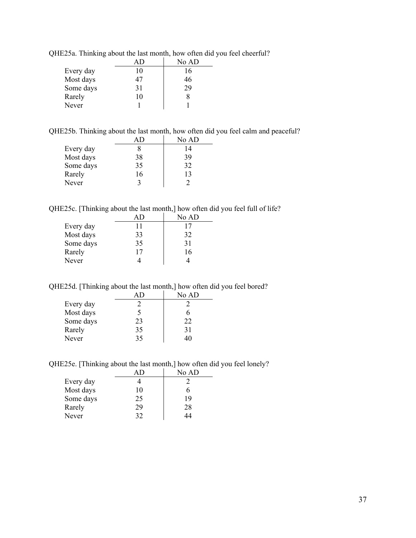|           |    | No AD |
|-----------|----|-------|
| Every day | 10 | 16    |
| Most days | 47 | 46    |
| Some days | 31 | 29    |
| Rarely    | 10 | x     |
| Never     |    |       |

QHE25a. Thinking about the last month, how often did you feel cheerful?

QHE25b. Thinking about the last month, how often did you feel calm and peaceful?

|           |    | No AD |
|-----------|----|-------|
| Every day |    | 14    |
| Most days | 38 | 39    |
| Some days | 35 | 32    |
| Rarely    | 16 | 13    |
| Never     | ζ  |       |

QHE25c. [Thinking about the last month,] how often did you feel full of life?

|           |    | No AD |
|-----------|----|-------|
| Every day | 11 | 17    |
| Most days | 33 | 32    |
| Some days | 35 | 31    |
| Rarely    | 17 | 16    |
| Never     |    |       |

QHE25d. [Thinking about the last month,] how often did you feel bored?

|           |    | No AD |
|-----------|----|-------|
| Every day |    |       |
| Most days |    |       |
| Some days | 23 | 22    |
| Rarely    | 35 | 31    |
| Never     | 35 | 40    |

QHE25e. [Thinking about the last month,] how often did you feel lonely?

|           |    | No AD |
|-----------|----|-------|
| Every day |    |       |
| Most days | 10 | 6     |
| Some days | 25 | 19    |
| Rarely    | 29 | 28    |
| Never     | 32 | 14    |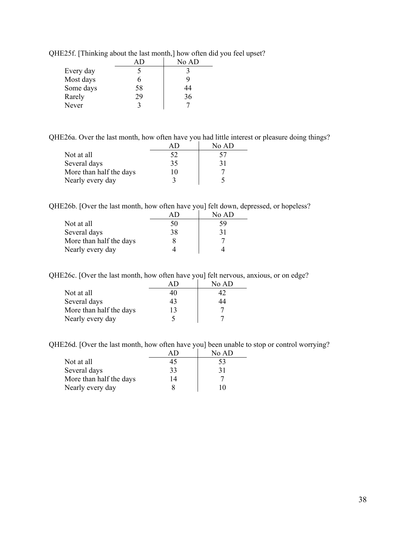|           |    | No AD |
|-----------|----|-------|
| Every day |    |       |
| Most days | n  |       |
| Some days | 58 | 44    |
| Rarely    | 29 | 36    |
| Never     |    |       |

QHE25f. [Thinking about the last month,] how often did you feel upset?

QHE26a. Over the last month, how often have you had little interest or pleasure doing things?

|                         |    | No AD |
|-------------------------|----|-------|
| Not at all              | 52 | 57    |
| Several days            | 35 | 31    |
| More than half the days | 10 |       |
| Nearly every day        |    |       |

QHE26b. [Over the last month, how often have you] felt down, depressed, or hopeless?

|                         |    | No AD |
|-------------------------|----|-------|
| Not at all              | 50 | 59    |
| Several days            | 38 | 31    |
| More than half the days |    |       |
| Nearly every day        |    |       |

QHE26c. [Over the last month, how often have you] felt nervous, anxious, or on edge?

|                         |    | No AD |
|-------------------------|----|-------|
| Not at all              | 40 |       |
| Several days            | 43 | 44    |
| More than half the days | 13 |       |
| Nearly every day        |    |       |

QHE26d. [Over the last month, how often have you] been unable to stop or control worrying?

|                         | AU | No AD |
|-------------------------|----|-------|
| Not at all              | 45 | 53    |
| Several days            | 33 | 31    |
| More than half the days | 14 |       |
| Nearly every day        |    | 10    |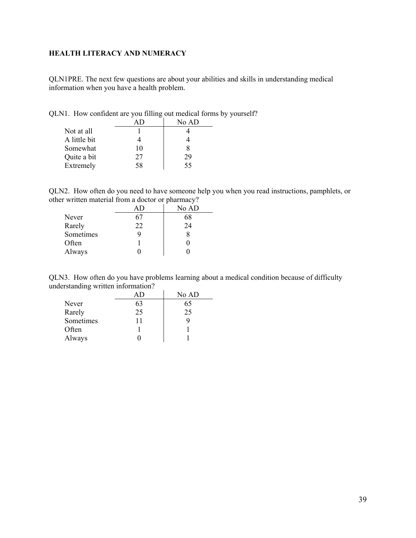## <span id="page-38-0"></span>**HEALTH LITERACY AND NUMERACY**

QLN1PRE. The next few questions are about your abilities and skills in understanding medical information when you have a health problem.

QLN1. How confident are you filling out medical forms by yourself?

|              |    | No AD |
|--------------|----|-------|
| Not at all   |    |       |
| A little bit |    |       |
| Somewhat     | 10 |       |
| Quite a bit  | 27 | 29    |
| Extremely    | 58 | 55    |

QLN2. How often do you need to have someone help you when you read instructions, pamphlets, or other written material from a doctor or pharmacy?

|           | ΑD | $\sim$<br>No AD |
|-----------|----|-----------------|
| Never     | 67 | 68              |
| Rarely    | 22 | 24              |
| Sometimes | g  |                 |
| Often     |    |                 |
| Always    |    |                 |

QLN3. How often do you have problems learning about a medical condition because of difficulty understanding written information?

|           |    | No AD |
|-----------|----|-------|
| Never     | 63 | 65    |
| Rarely    | 25 | 25    |
| Sometimes | 11 |       |
| Often     |    |       |
| Always    |    |       |
|           |    |       |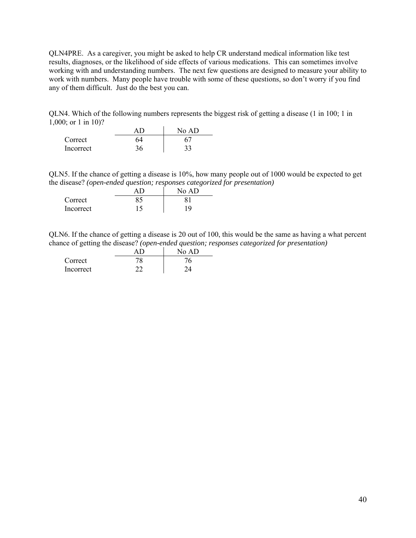QLN4PRE. As a caregiver, you might be asked to help CR understand medical information like test results, diagnoses, or the likelihood of side effects of various medications. This can sometimes involve working with and understanding numbers. The next few questions are designed to measure your ability to work with numbers. Many people have trouble with some of these questions, so don't worry if you find any of them difficult. Just do the best you can.

QLN4. Which of the following numbers represents the biggest risk of getting a disease (1 in 100; 1 in 1,000; or 1 in 10)?

|           |    | No AD |
|-----------|----|-------|
| Correct   | 64 |       |
| Incorrect | 36 |       |

QLN5. If the chance of getting a disease is 10%, how many people out of 1000 would be expected to get the disease? *(open-ended question; responses categorized for presentation)*

| . .       | . .<br>No AD |
|-----------|--------------|
| Correct   |              |
| Incorrect | 19           |

QLN6. If the chance of getting a disease is 20 out of 100, this would be the same as having a what percent chance of getting the disease? *(open-ended question; responses categorized for presentation)*

|           | No AD |
|-----------|-------|
| Correct   |       |
| Incorrect |       |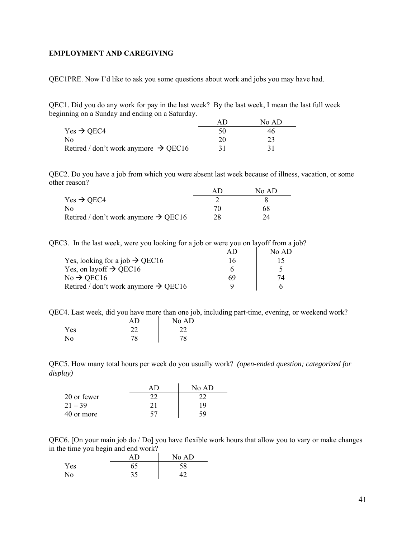#### <span id="page-40-0"></span>**EMPLOYMENT AND CAREGIVING**

QEC1PRE. Now I'd like to ask you some questions about work and jobs you may have had.

QEC1. Did you do any work for pay in the last week? By the last week, I mean the last full week beginning on a Sunday and ending on a Saturday.

|                                                  | No AD |
|--------------------------------------------------|-------|
| Yes $\rightarrow$ QEC4                           | 46    |
| No                                               |       |
| Retired / don't work anymore $\rightarrow$ QEC16 |       |

QEC2. Do you have a job from which you were absent last week because of illness, vacation, or some other reason?

|                                                  | No AD |
|--------------------------------------------------|-------|
| Yes $\rightarrow$ QEC4                           |       |
| No.                                              | 68    |
| Retired / don't work anymore $\rightarrow$ QEC16 | 24    |

QEC3. In the last week, were you looking for a job or were you on layoff from a job?

|                                                  | AI) | No AD |
|--------------------------------------------------|-----|-------|
| Yes, looking for a job $\rightarrow$ QEC16       | 16  |       |
| Yes, on layoff $\rightarrow$ QEC16               |     |       |
| $No \rightarrow$ QEC16                           | 69  | 74    |
| Retired / don't work anymore $\rightarrow$ QEC16 |     |       |

QEC4. Last week, did you have more than one job, including part-time, evening, or weekend work?

|                | ΑD | No AD |
|----------------|----|-------|
| Yes            |    |       |
| N <sub>o</sub> | 78 | 78    |

QEC5. How many total hours per week do you usually work? *(open-ended question; categorized for display)* 

|             |          | $N_0$ AD |
|-------------|----------|----------|
| 20 or fewer | $\gamma$ |          |
| $21 - 39$   | 21       | 19       |
| 40 or more  | 57       |          |

QEC6. [On your main job do / Do] you have flexible work hours that allow you to vary or make changes in the time you begin and end work?

|     |          | No AD |
|-----|----------|-------|
| Yes | 65<br>09 | 58    |
| No  | 35       |       |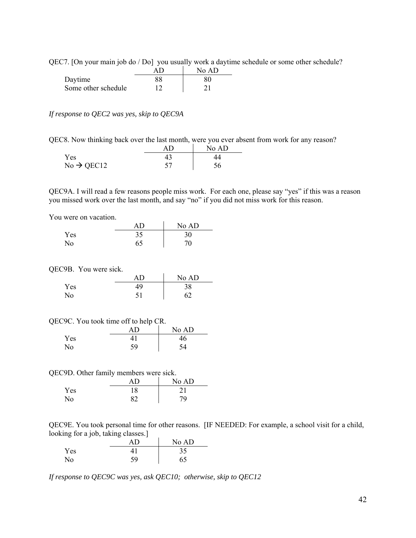| QEC7. [On your main job do / Do] you usually work a daytime schedule or some other schedule? |
|----------------------------------------------------------------------------------------------|
|----------------------------------------------------------------------------------------------|

|                     | No AD |
|---------------------|-------|
| Daytime             | 80    |
| Some other schedule |       |

#### *If response to QEC2 was yes, skip to QEC9A*

QEC8. Now thinking back over the last month, were you ever absent from work for any reason?

|                        | No AD |
|------------------------|-------|
| Yes                    | 44    |
| $No \rightarrow QEC12$ | 56    |

QEC9A. I will read a few reasons people miss work. For each one, please say "yes" if this was a reason you missed work over the last month, and say "no" if you did not miss work for this reason.

You were on vacation.

|     | ΑD | No AD |
|-----|----|-------|
| Yes | 35 | 30    |
| No. |    | 70    |

QEC9B. You were sick.

|     | ΑD        | No AD |
|-----|-----------|-------|
| Yes | 49        | 38    |
| No  | ۲1<br>IJΙ | 62    |

| QEC9C. You took time off to help CR. |  |  |  |  |  |  |
|--------------------------------------|--|--|--|--|--|--|
|--------------------------------------|--|--|--|--|--|--|

|     | AD | No AD |
|-----|----|-------|
| Yes |    | 46    |
| No  | 59 | 54    |

QEC9D. Other family members were sick.

|     | AΒ | No AD |
|-----|----|-------|
| Yes | 18 | າ 1   |
| No  | 82 | 79    |

QEC9E. You took personal time for other reasons. [IF NEEDED: For example, a school visit for a child, looking for a job, taking classes.]

|     |    | No AD |
|-----|----|-------|
| Yes |    | 35    |
| No  | 59 | 65    |

*If response to QEC9C was yes, ask QEC10; otherwise, skip to QEC12*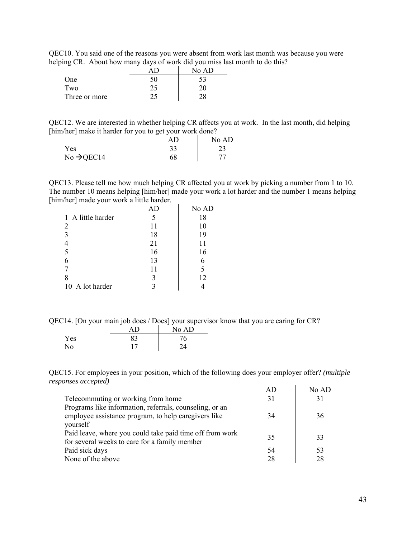QEC10. You said one of the reasons you were absent from work last month was because you were helping CR. About how many days of work did you miss last month to do this?

| -             |    | No AD |
|---------------|----|-------|
| One           | 50 | 53    |
| Two           | 25 | 20    |
| Three or more | ົ  |       |

QEC12. We are interested in whether helping CR affects you at work. In the last month, did helping [him/her] make it harder for you to get your work done?

|                        | $\overline{\phantom{0}}$ |       |
|------------------------|--------------------------|-------|
|                        |                          | No AD |
| Yes                    | эJ                       | ل کے  |
| No $\rightarrow$ QEC14 | 68                       | 77    |

QEC13. Please tell me how much helping CR affected you at work by picking a number from 1 to 10. The number 10 means helping [him/her] made your work a lot harder and the number 1 means helping [him/her] made your work a little harder.

|                   | AD | No AD |
|-------------------|----|-------|
| 1 A little harder | 5  | 18    |
| 2                 | 11 | 10    |
| 3                 | 18 | 19    |
|                   | 21 | 11    |
| 5                 | 16 | 16    |
| 6                 | 13 | 6     |
|                   | 11 | 5     |
| 8                 | 3  | 12    |
| 10 A lot harder   |    |       |

QEC14. [On your main job does / Does] your supervisor know that you are caring for CR?

|     | AD | No AD |
|-----|----|-------|
| Yes | 83 | 76    |
| No  |    | 24    |

QEC15. For employees in your position, which of the following does your employer offer? *(multiple responses accepted)*  $AD \qquad \qquad$  No  $AD$ 

|                                                          | $A$ $D$ | NQAD |
|----------------------------------------------------------|---------|------|
| Telecommuting or working from home                       | 31      | 31   |
| Programs like information, referrals, counseling, or an  |         |      |
| employee assistance program, to help caregivers like     | 34      | 36   |
| yourself                                                 |         |      |
| Paid leave, where you could take paid time off from work | 35      | 33   |
| for several weeks to care for a family member            |         |      |
| Paid sick days                                           | 54      | 53   |
| None of the above                                        | 28      | 28   |
|                                                          |         |      |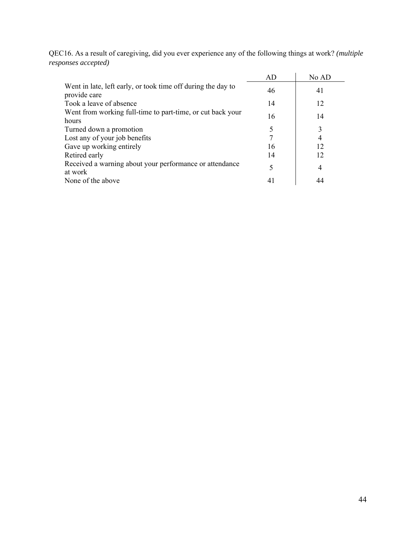QEC16. As a result of caregiving, did you ever experience any of the following things at work? *(multiple responses accepted)*

|                                                                              | AD | No AD |  |
|------------------------------------------------------------------------------|----|-------|--|
| Went in late, left early, or took time off during the day to<br>provide care | 46 | 41    |  |
| Took a leave of absence                                                      | 14 | 12    |  |
| Went from working full-time to part-time, or cut back your                   | 16 | 14    |  |
| hours                                                                        |    |       |  |
| Turned down a promotion                                                      |    | 3     |  |
| Lost any of your job benefits                                                |    |       |  |
| Gave up working entirely                                                     | 16 | 12    |  |
| Retired early                                                                | 14 | 12    |  |
| Received a warning about your performance or attendance                      |    | 4     |  |
| at work                                                                      |    |       |  |
| None of the above                                                            |    | 44    |  |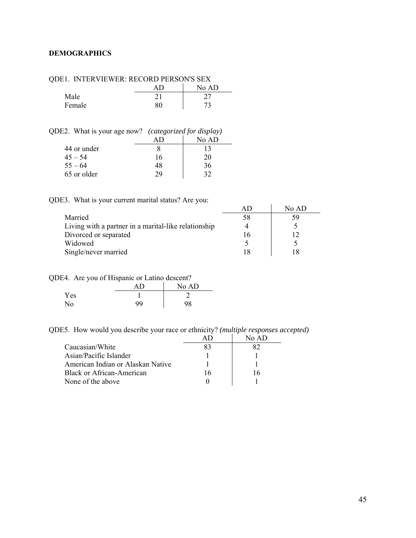### <span id="page-44-0"></span>**DEMOGRAPHICS**

| /DEI. INTERVIEWER. RECORD FERSON'S SEA |  |       |
|----------------------------------------|--|-------|
|                                        |  | No AD |
| Male                                   |  |       |
| Female                                 |  |       |

QDE1. INTERVIEWER: RECORD PERSON'S SEX

QDE2. What is your age now? *(categorized for display)* 

|             |    | No AD |
|-------------|----|-------|
| 44 or under |    |       |
| $45 - 54$   | 16 | 20    |
| $55 - 64$   | 48 | 36    |
| 65 or older | วด | 30    |

QDE3. What is your current marital status? Are you:

|                                                      | No AD |
|------------------------------------------------------|-------|
| Married                                              |       |
| Living with a partner in a marital-like relationship |       |
| Divorced or separated                                |       |
| Widowed                                              |       |
| Single/never married                                 |       |

QDE4. Are you of Hispanic or Latino descent?

|     | -<br>ΔŊ | No AD |
|-----|---------|-------|
| Yes |         |       |
| No  | 99      | 98    |

QDE5. How would you describe your race or ethnicity? *(multiple responses accepted)* 

|                                   |    | No $AD$ |
|-----------------------------------|----|---------|
| Caucasian/White                   | 83 |         |
| Asian/Pacific Islander            |    |         |
| American Indian or Alaskan Native |    |         |
| Black or African-American         |    | 16      |
| None of the above                 |    |         |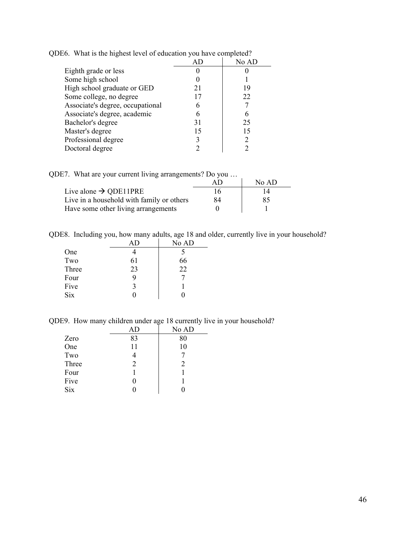|                                  |    | No AD |
|----------------------------------|----|-------|
| Eighth grade or less             |    |       |
| Some high school                 |    |       |
| High school graduate or GED      |    | 19    |
| Some college, no degree          |    | 22    |
| Associate's degree, occupational |    |       |
| Associate's degree, academic     |    |       |
| Bachelor's degree                | 31 | 25    |
| Master's degree                  |    | 15    |
| Professional degree              |    |       |
| Doctoral degree                  |    |       |

QDE6. What is the highest level of education you have completed?

QDE7. What are your current living arrangements? Do you …

|                                           | AF | No AD |
|-------------------------------------------|----|-------|
| Live alone $\rightarrow$ QDE11PRE         |    | 14    |
| Live in a household with family or others | 84 | 85    |
| Have some other living arrangements       |    |       |

QDE8. Including you, how many adults, age 18 and older, currently live in your household?

|    | No AD |
|----|-------|
|    | 5     |
| 61 | 66    |
| 23 | 22    |
| 9  |       |
| 3  |       |
| 0  |       |
|    |       |

QDE9. How many children under age 18 currently live in your household?

|            | AD | No AD |
|------------|----|-------|
| Zero       | 83 | 80    |
| One        | 11 | 10    |
| Two        | 4  |       |
| Three      | 2  | 2     |
| Four       |    |       |
| Five       | 0  |       |
| <b>Six</b> |    |       |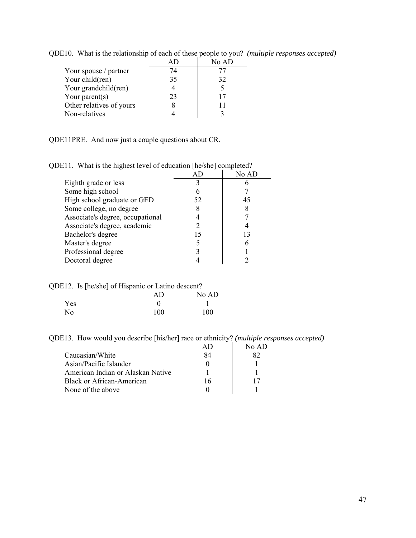|                          |    | No AD |
|--------------------------|----|-------|
| Your spouse / partner    | 74 |       |
| Your child(ren)          | 35 | 32    |
| Your grandchild(ren)     |    | 5     |
| Your parent $(s)$        | 23 | 17    |
| Other relatives of yours |    | 11    |
| Non-relatives            |    |       |

QDE10. What is the relationship of each of these people to you? *(multiple responses accepted)* 

QDE11PRE. And now just a couple questions about CR.

| $\mu$ . what is the inghest level of education $ \mu v $ she completed. |       |
|-------------------------------------------------------------------------|-------|
|                                                                         | No AD |
|                                                                         |       |
|                                                                         |       |
| 52                                                                      | 45    |
|                                                                         |       |
|                                                                         |       |
|                                                                         |       |
| 15                                                                      | 13    |
|                                                                         |       |
|                                                                         |       |
|                                                                         |       |
|                                                                         |       |

QDE11. What is the highest level of education [he/she] completed?

QDE12. Is [he/she] of Hispanic or Latino descent?

|     |  | AD  | No AD |
|-----|--|-----|-------|
| Yes |  |     |       |
| No  |  | 100 | 100   |

QDE13. How would you describe [his/her] race or ethnicity? *(multiple responses accepted)*

|                                   |    | No $AD$ |
|-----------------------------------|----|---------|
| Caucasian/White                   | 84 |         |
| Asian/Pacific Islander            |    |         |
| American Indian or Alaskan Native |    |         |
| Black or African-American         | 16 | 17      |
| None of the above                 |    |         |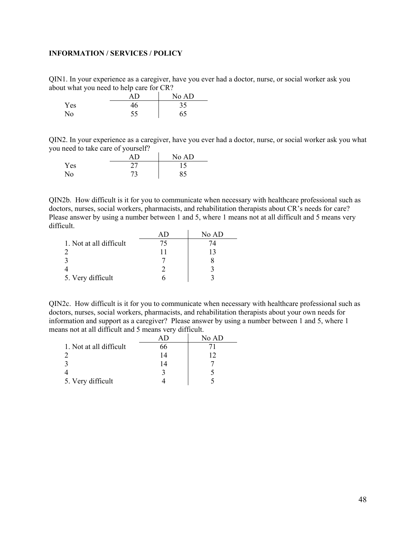#### <span id="page-47-0"></span>**INFORMATION / SERVICES / POLICY**

QIN1. In your experience as a caregiver, have you ever had a doctor, nurse, or social worker ask you about what you need to help care for CR?

| . . | AD | No AD |
|-----|----|-------|
| Yes | 46 | 35    |
| No  |    | 65    |

QIN2. In your experience as a caregiver, have you ever had a doctor, nurse, or social worker ask you what you need to take care of yourself?

|     | ΔŊ         | No AD |
|-----|------------|-------|
| Yes | $\gamma$ - |       |
| No  | 73         | 85    |

QIN2b. How difficult is it for you to communicate when necessary with healthcare professional such as doctors, nurses, social workers, pharmacists, and rehabilitation therapists about CR's needs for care? Please answer by using a number between 1 and 5, where 1 means not at all difficult and 5 means very difficult.

|                         | No AD |
|-------------------------|-------|
| 1. Not at all difficult | Ι4    |
|                         | 13    |
|                         |       |
|                         |       |
| 5. Very difficult       |       |

QIN2c. How difficult is it for you to communicate when necessary with healthcare professional such as doctors, nurses, social workers, pharmacists, and rehabilitation therapists about your own needs for information and support as a caregiver? Please answer by using a number between 1 and 5, where 1 means not at all difficult and 5 means very difficult.

|                         |    | No AD |
|-------------------------|----|-------|
| 1. Not at all difficult | 66 |       |
|                         | 14 | 12    |
|                         | 14 |       |
|                         |    |       |
| 5. Very difficult       |    |       |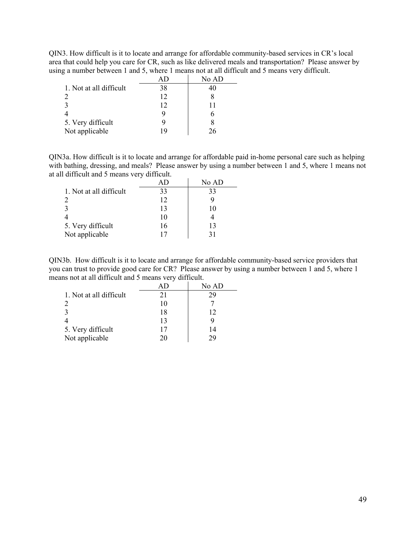QIN3. How difficult is it to locate and arrange for affordable community-based services in CR's local area that could help you care for CR, such as like delivered meals and transportation? Please answer by using a number between 1 and 5, where 1 means not at all difficult and 5 means very difficult.

|                         |    | No AD |
|-------------------------|----|-------|
| 1. Not at all difficult | 38 | 40    |
|                         | 12 |       |
|                         | 12 | 11    |
|                         | g  |       |
| 5. Very difficult       | Q  |       |
| Not applicable          | 19 | 26    |

QIN3a. How difficult is it to locate and arrange for affordable paid in-home personal care such as helping with bathing, dressing, and meals? Please answer by using a number between 1 and 5, where 1 means not at all difficult and 5 means very difficult.

|                         |    | No AD |
|-------------------------|----|-------|
| 1. Not at all difficult | 33 | 33    |
|                         | 12 |       |
|                         | 13 | 10    |
|                         | 10 |       |
| 5. Very difficult       | 16 | 13    |
| Not applicable          |    | 31    |

QIN3b. How difficult is it to locate and arrange for affordable community-based service providers that you can trust to provide good care for CR? Please answer by using a number between 1 and 5, where 1 means not at all difficult and 5 means very difficult.

|                         |     | No AD |
|-------------------------|-----|-------|
| 1. Not at all difficult | 21  | 29    |
|                         | 10  |       |
|                         | 18  | 12    |
|                         | 13  |       |
| 5. Very difficult       | l'I | 14    |
| Not applicable          | 20  | 29    |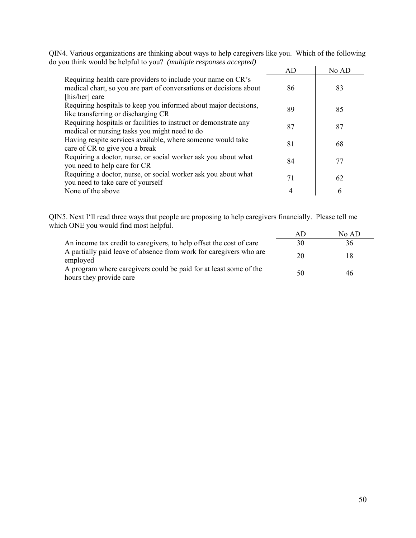|                                                                                                                                                      | AD | No AD |
|------------------------------------------------------------------------------------------------------------------------------------------------------|----|-------|
| Requiring health care providers to include your name on CR's<br>medical chart, so you are part of conversations or decisions about<br>[his/her] care | 86 | 83    |
| Requiring hospitals to keep you informed about major decisions,<br>like transferring or discharging CR                                               | 89 | 85    |
| Requiring hospitals or facilities to instruct or demonstrate any<br>medical or nursing tasks you might need to do                                    | 87 | 87    |
| Having respite services available, where someone would take<br>care of CR to give you a break                                                        | 81 | 68    |
| Requiring a doctor, nurse, or social worker ask you about what<br>you need to help care for CR                                                       | 84 | 77    |
| Requiring a doctor, nurse, or social worker ask you about what<br>you need to take care of yourself                                                  | 71 | 62    |
| None of the above                                                                                                                                    | 4  | 6     |

QIN4. Various organizations are thinking about ways to help caregivers like you. Which of the following do you think would be helpful to you? *(multiple responses accepted)* 

QIN5. Next I'll read three ways that people are proposing to help caregivers financially. Please tell me which ONE you would find most helpful.

|                                                                                              |    | No AD |
|----------------------------------------------------------------------------------------------|----|-------|
| An income tax credit to caregivers, to help offset the cost of care                          | 30 | 36    |
| A partially paid leave of absence from work for caregivers who are<br>employed               | 20 | 18    |
| A program where caregivers could be paid for at least some of the<br>hours they provide care | 50 | 46    |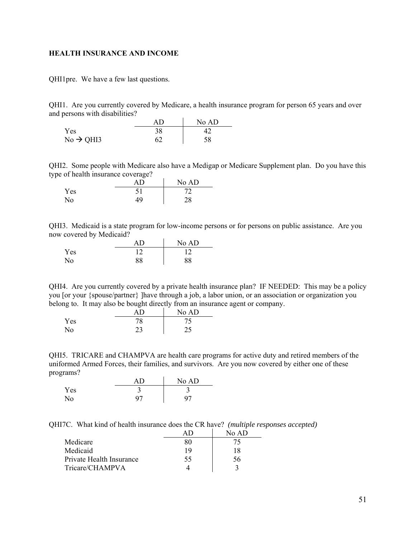#### <span id="page-50-0"></span>**HEALTH INSURANCE AND INCOME**

QHI1pre. We have a few last questions.

QHI1. Are you currently covered by Medicare, a health insurance program for person 65 years and over and persons with disabilities?

|                       |    | No AD |
|-----------------------|----|-------|
| Yes                   | 38 |       |
| $No \rightarrow QHI3$ |    | 58    |

QHI2. Some people with Medicare also have a Medigap or Medicare Supplement plan. Do you have this type of health insurance coverage?

|     |    | No AD |
|-----|----|-------|
| Yes |    | 70    |
| No  | 49 | 28    |

QHI3. Medicaid is a state program for low-income persons or for persons on public assistance. Are you now covered by Medicaid?

|     | AΒ | No AD |
|-----|----|-------|
| Yes |    | 1 າ   |
| No  | 88 | 88    |

QHI4. Are you currently covered by a private health insurance plan? IF NEEDED: This may be a policy you [or your {spouse/partner} ]have through a job, a labor union, or an association or organization you belong to. It may also be bought directly from an insurance agent or company.

|     |                  | No AD |
|-----|------------------|-------|
| Yes | 70<br>$\sqrt{6}$ |       |
| No  | ر ے              | ر ے   |

QHI5. TRICARE and CHAMPVA are health care programs for active duty and retired members of the uniformed Armed Forces, their families, and survivors. Are you now covered by either one of these programs?

|     |    | No AD |
|-----|----|-------|
| Yes |    |       |
| No  | 97 | 97    |

QHI7C. What kind of health insurance does the CR have? *(multiple responses accepted)* 

|                          | A I ) | No AD |
|--------------------------|-------|-------|
| Medicare                 | 80    | 75    |
| Medicaid                 | 19    | 18    |
| Private Health Insurance | 55    | 56    |
| Tricare/CHAMPVA          |       |       |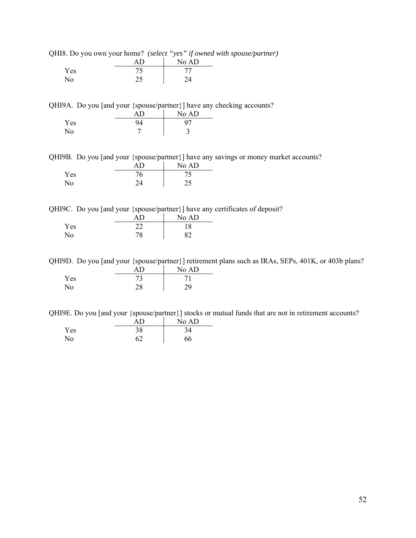|  | QHI8. Do you own your home? (select "yes" if owned with spouse/partner) |  |  |  |  |  |  |  |  |
|--|-------------------------------------------------------------------------|--|--|--|--|--|--|--|--|
|--|-------------------------------------------------------------------------|--|--|--|--|--|--|--|--|

|                | ΑD | No AD  |
|----------------|----|--------|
| Yes            |    | 77     |
| N <sub>o</sub> |    | $2\pi$ |

QHI9A. Do you [and your {spouse/partner}] have any checking accounts?

|     | ΑD | No AD |
|-----|----|-------|
| Yes |    | 97    |
| No  |    | سه    |

QHI9B. Do you [and your {spouse/partner}] have any savings or money market accounts?

|     | ΑD | No AD |
|-----|----|-------|
| Yes | 76 |       |
| No  | 24 | つぐ    |

QHI9C. Do you [and your {spouse/partner}] have any certificates of deposit?

|     | ΔŊ | No AD |
|-----|----|-------|
| Yes |    | 18    |
| No  | 78 | 87    |

QHI9D. Do you [and your {spouse/partner}] retirement plans such as IRAs, SEPs, 401K, or 403b plans? AD No AD

|     | $\sim$ 1.7 | $190 \, \text{AU}$ |
|-----|------------|--------------------|
| Yes | ر ا        |                    |
| No  | ١O         |                    |

QHI9E. Do you [and your {spouse/partner}] stocks or mutual funds that are not in retirement accounts?

|                | ΑD | No AD |
|----------------|----|-------|
| Yes            | 38 | 34    |
| N <sub>0</sub> | 62 | 66    |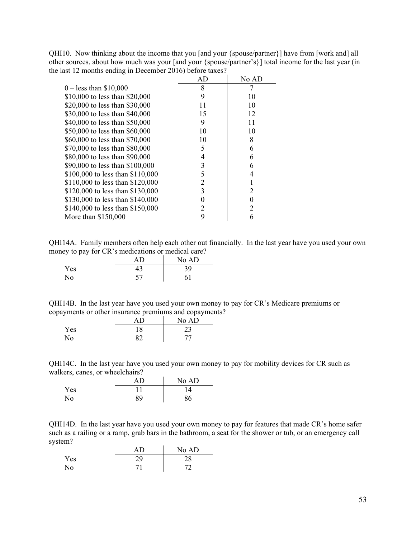QHI10. Now thinking about the income that you [and your {spouse/partner}] have from [work and] all other sources, about how much was your [and your {spouse/partner's}] total income for the last year (in the last 12 months ending in December 2016) before taxes?

|                                  | AD | No AD |
|----------------------------------|----|-------|
| $0 -$ less than \$10,000         | 8  |       |
| \$10,000 to less than \$20,000   | 9  | 10    |
| \$20,000 to less than \$30,000   | 11 | 10    |
| \$30,000 to less than \$40,000   | 15 | 12    |
| \$40,000 to less than \$50,000   | 9  | 11    |
| \$50,000 to less than \$60,000   | 10 | 10    |
| \$60,000 to less than \$70,000   | 10 | 8     |
| \$70,000 to less than \$80,000   | 5  | 6     |
| \$80,000 to less than \$90,000   | 4  | 6     |
| \$90,000 to less than \$100,000  | 3  | 6     |
| \$100,000 to less than \$110,000 | 5  | 4     |
| \$110,000 to less than \$120,000 | 2  |       |
| \$120,000 to less than \$130,000 | 3  |       |
| \$130,000 to less than \$140,000 |    |       |
| \$140,000 to less than \$150,000 |    |       |
| More than \$150,000              | 9  | 6     |

QHI14A. Family members often help each other out financially. In the last year have you used your own money to pay for CR's medications or medical care?

|     |    | No AD |
|-----|----|-------|
| Yes | 43 | 39    |
| No  | 57 | 61    |

QHI14B. In the last year have you used your own money to pay for CR's Medicare premiums or copayments or other insurance premiums and copayments?

|     | ΑD | No AD |
|-----|----|-------|
| Yes | 18 | ر ے   |
| No  |    | 77    |

QHI14C. In the last year have you used your own money to pay for mobility devices for CR such as walkers, canes, or wheelchairs?  $\mathcal{L}_{\mathcal{A}}$ 

|     | ΑD | No AD |
|-----|----|-------|
| Yes |    |       |
| No  | 89 | 86    |

QHI14D. In the last year have you used your own money to pay for features that made CR's home safer such as a railing or a ramp, grab bars in the bathroom, a seat for the shower or tub, or an emergency call system?

|     |    | No AD |
|-----|----|-------|
| Yes | 20 | 28    |
| No  |    | 70    |